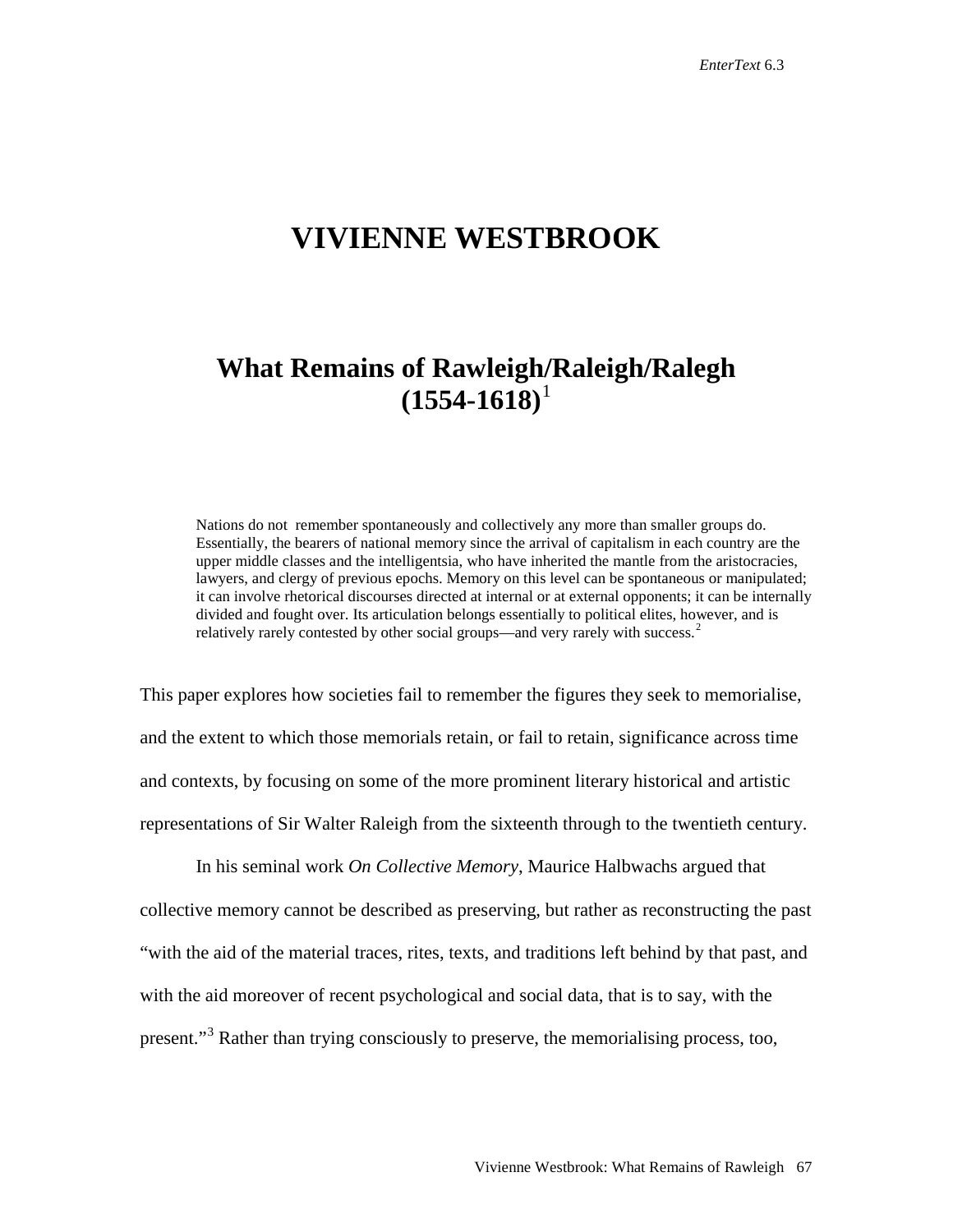## **VIVIENNE WESTBROOK**

## **What Remains of Rawleigh/Raleigh/Ralegh**  $(1554-1618)^1$  $(1554-1618)^1$  $(1554-1618)^1$

Nations do not remember spontaneously and collectively any more than smaller groups do. Essentially, the bearers of national memory since the arrival of capitalism in each country are the upper middle classes and the intelligentsia, who have inherited the mantle from the aristocracies, lawyers, and clergy of previous epochs. Memory on this level can be spontaneous or manipulated; it can involve rhetorical discourses directed at internal or at external opponents; it can be internally divided and fought over. Its articulation belongs essentially to political elites, however, and is relatively rarely contested by other social groups—and very rarely with success.<sup>[2](#page-21-1)</sup>

This paper explores how societies fail to remember the figures they seek to memorialise, and the extent to which those memorials retain, or fail to retain, significance across time and contexts, by focusing on some of the more prominent literary historical and artistic representations of Sir Walter Raleigh from the sixteenth through to the twentieth century.

In his seminal work *On Collective Memory*, Maurice Halbwachs argued that collective memory cannot be described as preserving, but rather as reconstructing the past "with the aid of the material traces, rites, texts, and traditions left behind by that past, and with the aid moreover of recent psychological and social data, that is to say, with the present."<sup>[3](#page-21-2)</sup> Rather than trying consciously to preserve, the memorialising process, too,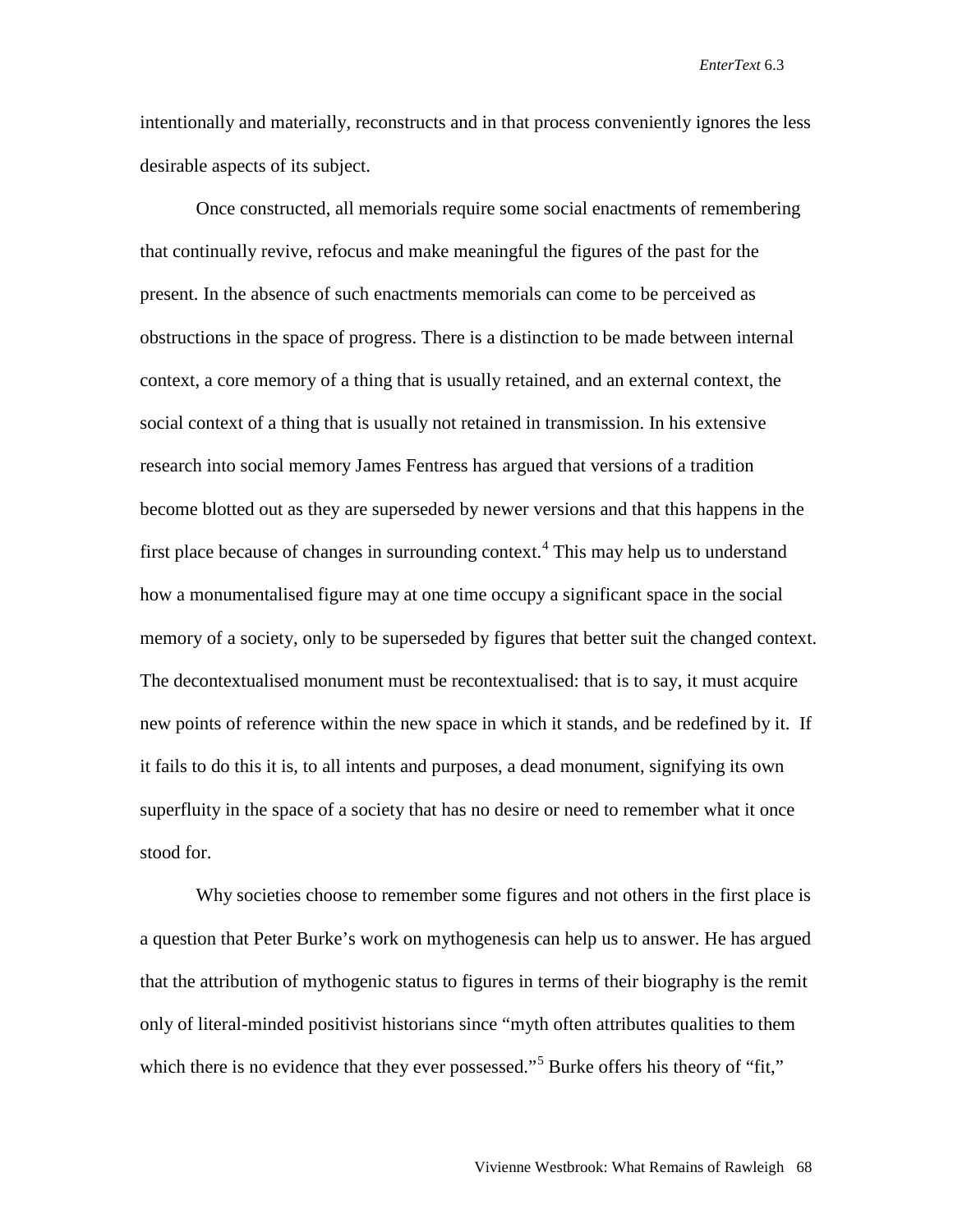intentionally and materially, reconstructs and in that process conveniently ignores the less desirable aspects of its subject.

Once constructed, all memorials require some social enactments of remembering that continually revive, refocus and make meaningful the figures of the past for the present. In the absence of such enactments memorials can come to be perceived as obstructions in the space of progress. There is a distinction to be made between internal context, a core memory of a thing that is usually retained, and an external context, the social context of a thing that is usually not retained in transmission. In his extensive research into social memory James Fentress has argued that versions of a tradition become blotted out as they are superseded by newer versions and that this happens in the first place because of changes in surrounding context.<sup>[4](#page-22-0)</sup> This may help us to understand how a monumentalised figure may at one time occupy a significant space in the social memory of a society, only to be superseded by figures that better suit the changed context. The decontextualised monument must be recontextualised: that is to say, it must acquire new points of reference within the new space in which it stands, and be redefined by it. If it fails to do this it is, to all intents and purposes, a dead monument, signifying its own superfluity in the space of a society that has no desire or need to remember what it once stood for.

Why societies choose to remember some figures and not others in the first place is a question that Peter Burke's work on mythogenesis can help us to answer. He has argued that the attribution of mythogenic status to figures in terms of their biography is the remit only of literal-minded positivist historians since "myth often attributes qualities to them which there is no evidence that they ever possessed."<sup>[5](#page-22-1)</sup> Burke offers his theory of "fit,"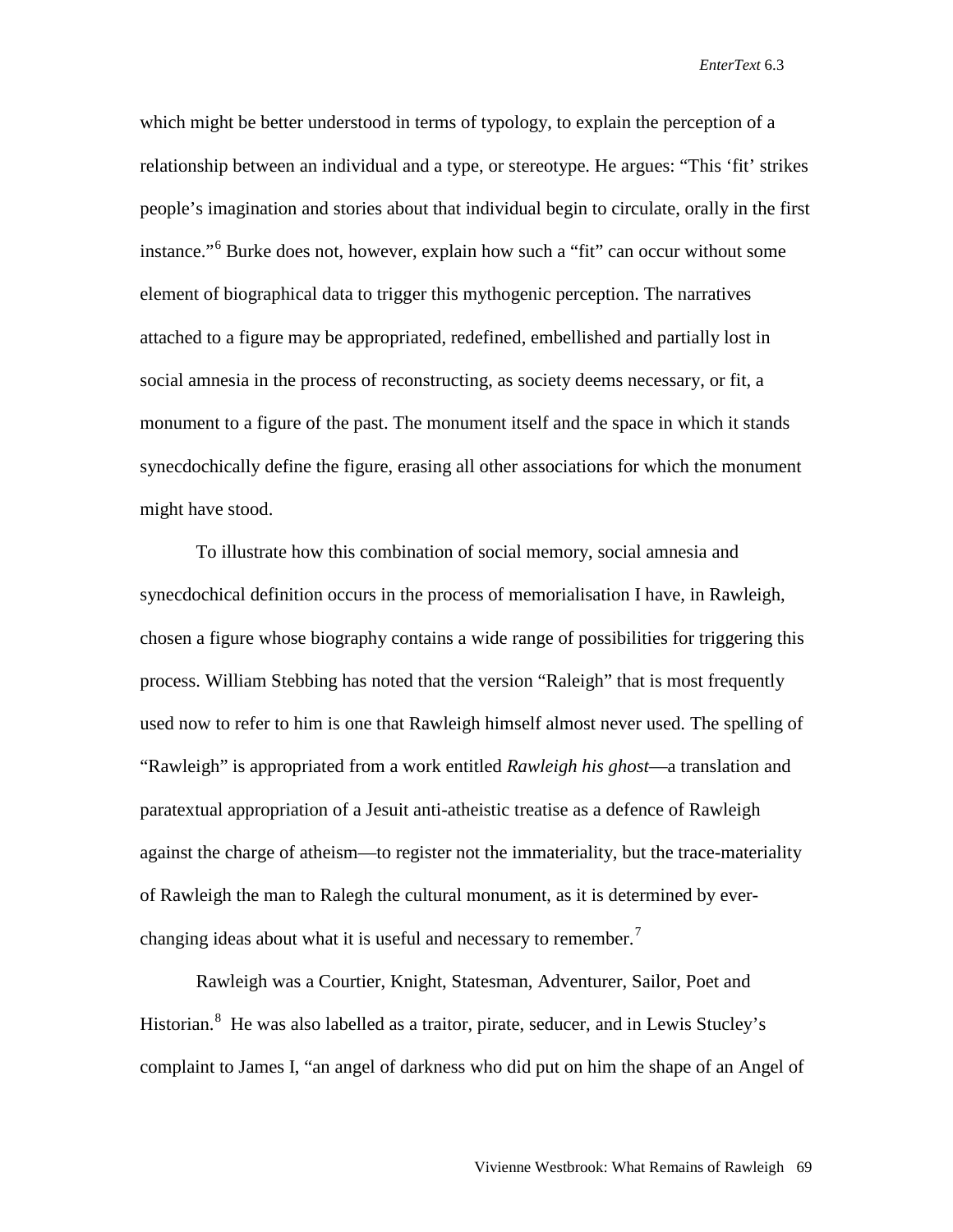which might be better understood in terms of typology, to explain the perception of a relationship between an individual and a type, or stereotype. He argues: "This 'fit' strikes people's imagination and stories about that individual begin to circulate, orally in the first instance."[6](#page-23-0) Burke does not, however, explain how such a "fit" can occur without some element of biographical data to trigger this mythogenic perception. The narratives attached to a figure may be appropriated, redefined, embellished and partially lost in social amnesia in the process of reconstructing, as society deems necessary, or fit, a monument to a figure of the past. The monument itself and the space in which it stands synecdochically define the figure, erasing all other associations for which the monument might have stood.

To illustrate how this combination of social memory, social amnesia and synecdochical definition occurs in the process of memorialisation I have, in Rawleigh, chosen a figure whose biography contains a wide range of possibilities for triggering this process. William Stebbing has noted that the version "Raleigh" that is most frequently used now to refer to him is one that Rawleigh himself almost never used. The spelling of "Rawleigh" is appropriated from a work entitled *Rawleigh his ghost*—a translation and paratextual appropriation of a Jesuit anti-atheistic treatise as a defence of Rawleigh against the charge of atheism—to register not the immateriality, but the trace-materiality of Rawleigh the man to Ralegh the cultural monument, as it is determined by ever-changing ideas about what it is useful and necessary to remember.<sup>[7](#page-23-1)</sup>

Rawleigh was a Courtier, Knight, Statesman, Adventurer, Sailor, Poet and Historian.<sup>[8](#page-23-2)</sup> He was also labelled as a traitor, pirate, seducer, and in Lewis Stucley's complaint to James I, "an angel of darkness who did put on him the shape of an Angel of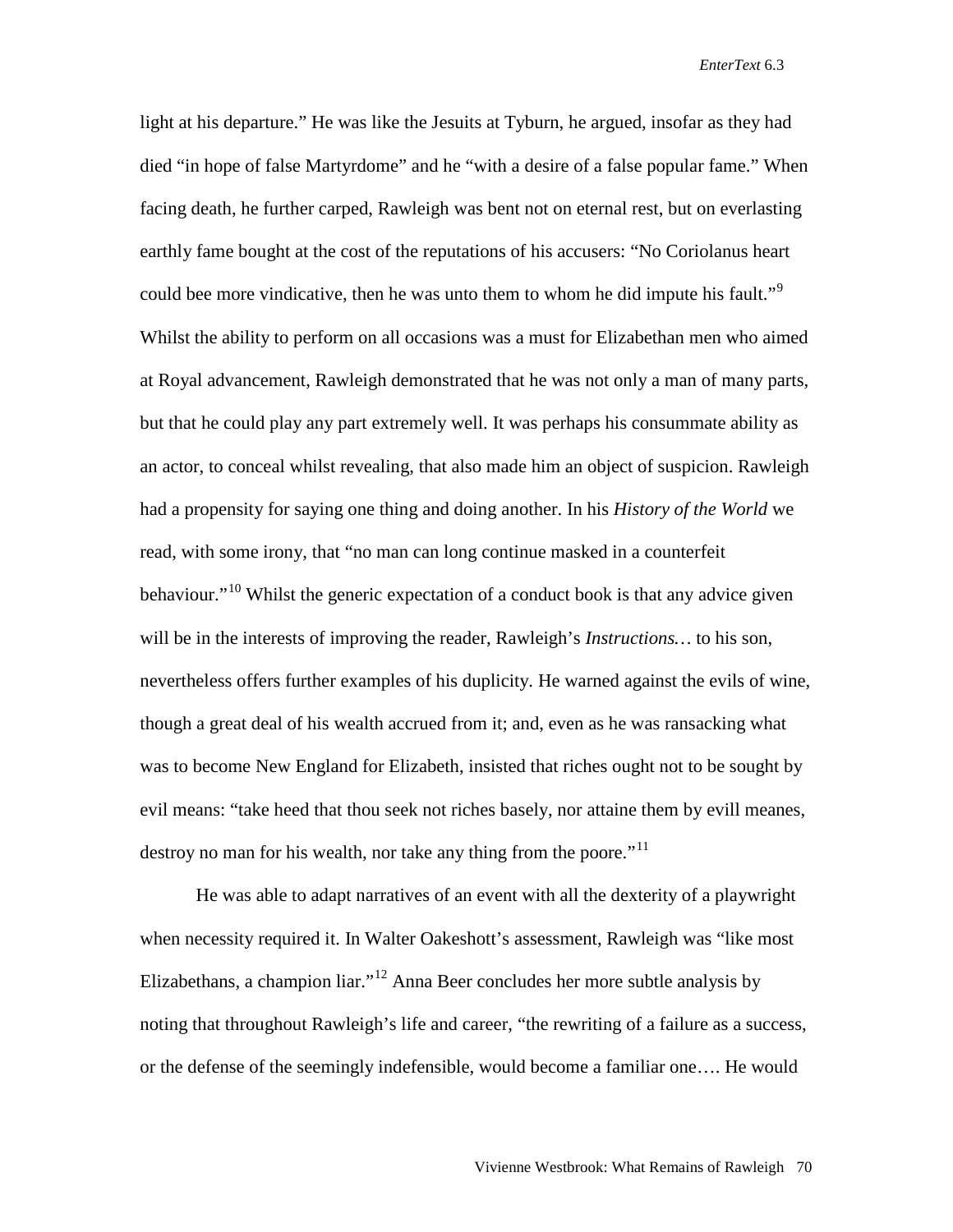light at his departure." He was like the Jesuits at Tyburn, he argued, insofar as they had died "in hope of false Martyrdome" and he "with a desire of a false popular fame." When facing death, he further carped, Rawleigh was bent not on eternal rest, but on everlasting earthly fame bought at the cost of the reputations of his accusers: "No Coriolanus heart could bee more vindicative, then he was unto them to whom he did impute his fault."<sup>[9](#page-23-3)</sup> Whilst the ability to perform on all occasions was a must for Elizabethan men who aimed at Royal advancement, Rawleigh demonstrated that he was not only a man of many parts, but that he could play any part extremely well. It was perhaps his consummate ability as an actor, to conceal whilst revealing, that also made him an object of suspicion. Rawleigh had a propensity for saying one thing and doing another. In his *History of the World* we read, with some irony, that "no man can long continue masked in a counterfeit behaviour."<sup>[10](#page-23-4)</sup> Whilst the generic expectation of a conduct book is that any advice given will be in the interests of improving the reader, Rawleigh's *Instructions…* to his son, nevertheless offers further examples of his duplicity. He warned against the evils of wine, though a great deal of his wealth accrued from it; and, even as he was ransacking what was to become New England for Elizabeth, insisted that riches ought not to be sought by evil means: "take heed that thou seek not riches basely, nor attaine them by evill meanes, destroy no man for his wealth, nor take any thing from the poore."<sup>[11](#page-23-5)</sup>

He was able to adapt narratives of an event with all the dexterity of a playwright when necessity required it. In Walter Oakeshott's assessment, Rawleigh was "like most Elizabethans, a champion liar."<sup>[12](#page-23-6)</sup> Anna Beer concludes her more subtle analysis by noting that throughout Rawleigh's life and career, "the rewriting of a failure as a success, or the defense of the seemingly indefensible, would become a familiar one…. He would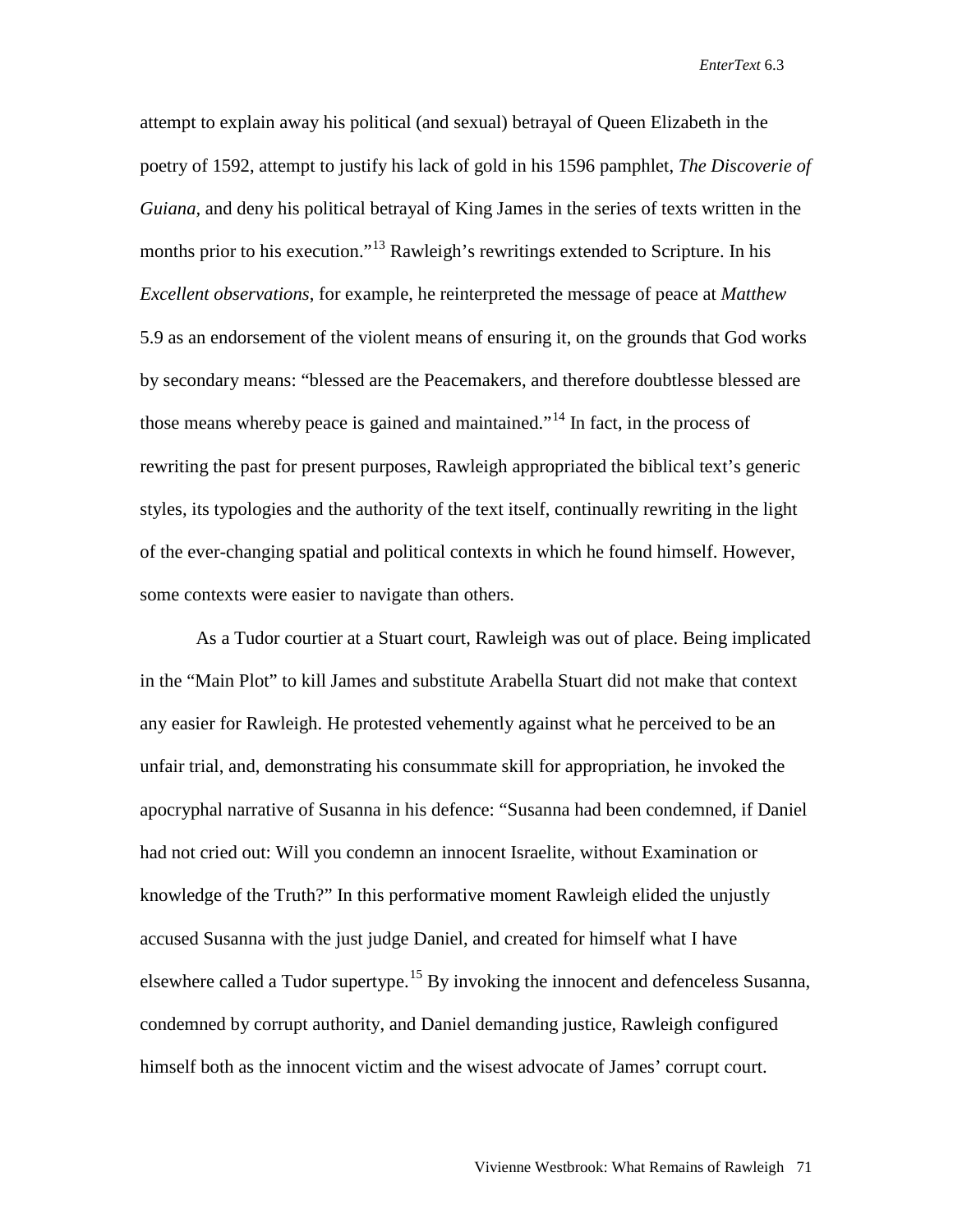attempt to explain away his political (and sexual) betrayal of Queen Elizabeth in the poetry of 1592, attempt to justify his lack of gold in his 1596 pamphlet, *The Discoverie of Guiana,* and deny his political betrayal of King James in the series of texts written in the months prior to his execution."[13](#page-23-7) Rawleigh's rewritings extended to Scripture. In his *Excellent observations*, for example, he reinterpreted the message of peace at *Matthew* 5.9 as an endorsement of the violent means of ensuring it, on the grounds that God works by secondary means: "blessed are the Peacemakers, and therefore doubtlesse blessed are those means whereby peace is gained and maintained."<sup>[14](#page-23-8)</sup> In fact, in the process of rewriting the past for present purposes, Rawleigh appropriated the biblical text's generic styles, its typologies and the authority of the text itself, continually rewriting in the light of the ever-changing spatial and political contexts in which he found himself. However, some contexts were easier to navigate than others.

As a Tudor courtier at a Stuart court, Rawleigh was out of place. Being implicated in the "Main Plot" to kill James and substitute Arabella Stuart did not make that context any easier for Rawleigh. He protested vehemently against what he perceived to be an unfair trial, and, demonstrating his consummate skill for appropriation, he invoked the apocryphal narrative of Susanna in his defence: "Susanna had been condemned, if Daniel had not cried out: Will you condemn an innocent Israelite, without Examination or knowledge of the Truth?" In this performative moment Rawleigh elided the unjustly accused Susanna with the just judge Daniel, and created for himself what I have elsewhere called a Tudor supertype.<sup>[15](#page-23-9)</sup> By invoking the innocent and defenceless Susanna, condemned by corrupt authority, and Daniel demanding justice, Rawleigh configured himself both as the innocent victim and the wisest advocate of James' corrupt court.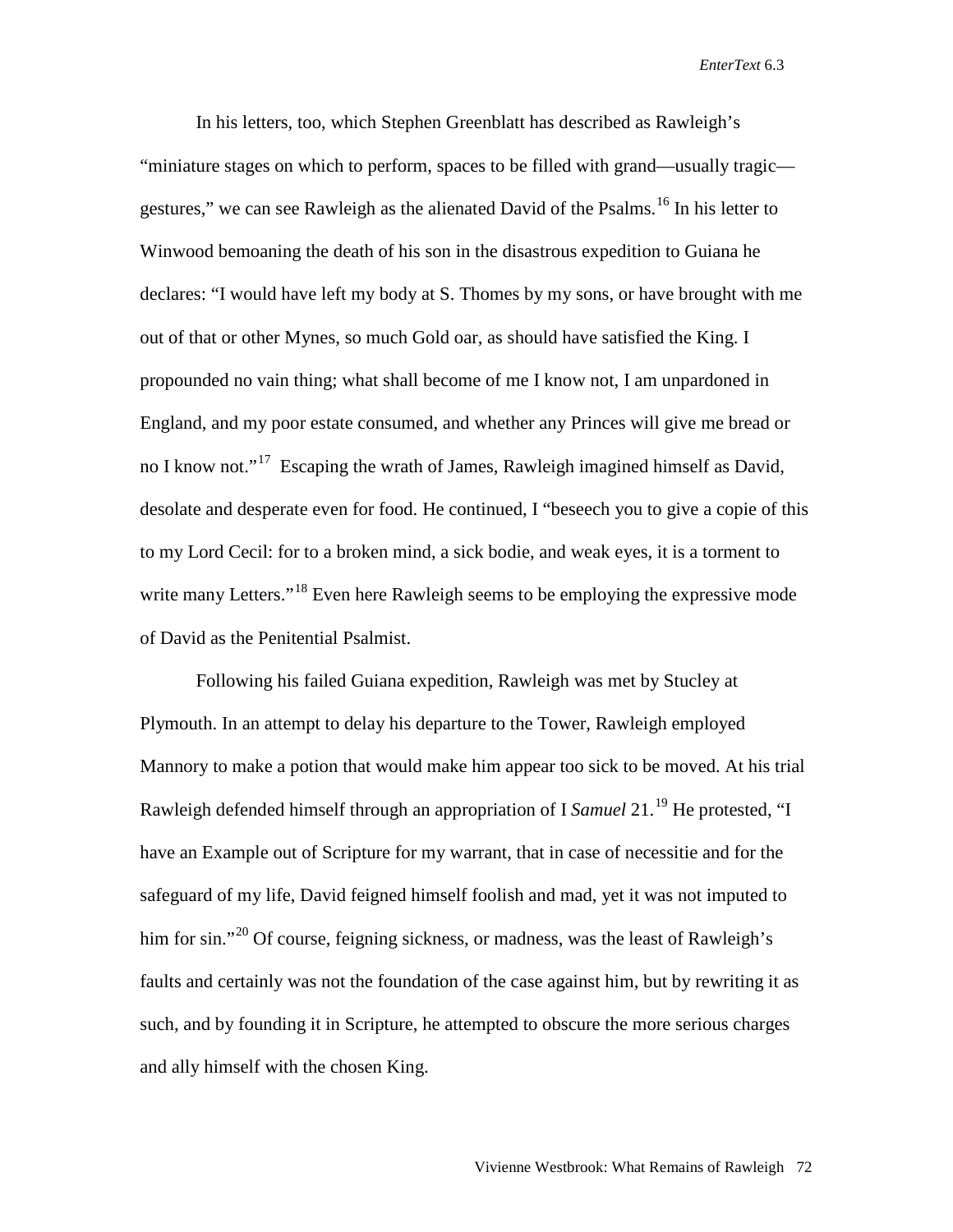In his letters, too, which Stephen Greenblatt has described as Rawleigh's "miniature stages on which to perform, spaces to be filled with grand—usually tragic— gestures," we can see Rawleigh as the alienated David of the Psalms.<sup>[16](#page-23-10)</sup> In his letter to Winwood bemoaning the death of his son in the disastrous expedition to Guiana he declares: "I would have left my body at S. Thomes by my sons, or have brought with me out of that or other Mynes, so much Gold oar, as should have satisfied the King. I propounded no vain thing; what shall become of me I know not, I am unpardoned in England, and my poor estate consumed, and whether any Princes will give me bread or no I know not."<sup>[17](#page-23-11)</sup> Escaping the wrath of James, Rawleigh imagined himself as David, desolate and desperate even for food. He continued, I "beseech you to give a copie of this to my Lord Cecil: for to a broken mind, a sick bodie, and weak eyes, it is a torment to write many Letters."<sup>[18](#page-23-12)</sup> Even here Rawleigh seems to be employing the expressive mode of David as the Penitential Psalmist.

Following his failed Guiana expedition, Rawleigh was met by Stucley at Plymouth. In an attempt to delay his departure to the Tower, Rawleigh employed Mannory to make a potion that would make him appear too sick to be moved. At his trial Rawleigh defended himself through an appropriation of I *Samuel* 21.[19](#page-23-13) He protested, "I have an Example out of Scripture for my warrant, that in case of necessitie and for the safeguard of my life, David feigned himself foolish and mad, yet it was not imputed to him for sin."<sup>[20](#page-23-14)</sup> Of course, feigning sickness, or madness, was the least of Rawleigh's faults and certainly was not the foundation of the case against him, but by rewriting it as such, and by founding it in Scripture, he attempted to obscure the more serious charges and ally himself with the chosen King.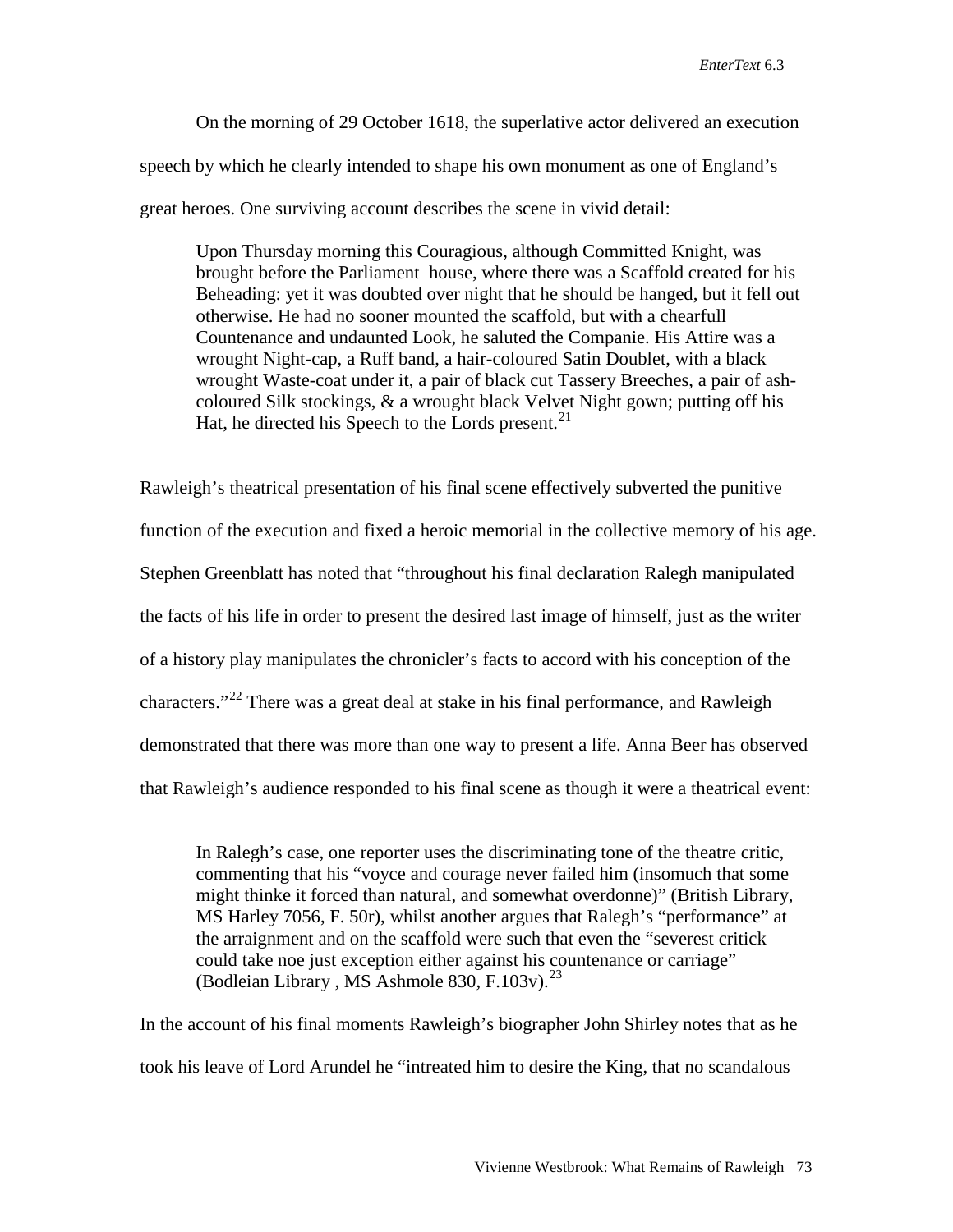On the morning of 29 October 1618, the superlative actor delivered an execution speech by which he clearly intended to shape his own monument as one of England's great heroes. One surviving account describes the scene in vivid detail:

Upon Thursday morning this Couragious, although Committed Knight, was brought before the Parliament house, where there was a Scaffold created for his Beheading: yet it was doubted over night that he should be hanged, but it fell out otherwise. He had no sooner mounted the scaffold, but with a chearfull Countenance and undaunted Look, he saluted the Companie. His Attire was a wrought Night-cap, a Ruff band, a hair-coloured Satin Doublet, with a black wrought Waste-coat under it, a pair of black cut Tassery Breeches, a pair of ashcoloured Silk stockings, & a wrought black Velvet Night gown; putting off his Hat, he directed his Speech to the Lords present. $^{21}$  $^{21}$  $^{21}$ 

Rawleigh's theatrical presentation of his final scene effectively subverted the punitive function of the execution and fixed a heroic memorial in the collective memory of his age. Stephen Greenblatt has noted that "throughout his final declaration Ralegh manipulated the facts of his life in order to present the desired last image of himself, just as the writer of a history play manipulates the chronicler's facts to accord with his conception of the characters."<sup>[22](#page-23-16)</sup> There was a great deal at stake in his final performance, and Rawleigh demonstrated that there was more than one way to present a life. Anna Beer has observed that Rawleigh's audience responded to his final scene as though it were a theatrical event:

In Ralegh's case, one reporter uses the discriminating tone of the theatre critic, commenting that his "voyce and courage never failed him (insomuch that some might thinke it forced than natural, and somewhat overdonne)" (British Library, MS Harley 7056, F. 50r), whilst another argues that Ralegh's "performance" at the arraignment and on the scaffold were such that even the "severest critick could take noe just exception either against his countenance or carriage" (Bodleian Library , MS Ashmole 830, F.103v). [23](#page-23-17)

In the account of his final moments Rawleigh's biographer John Shirley notes that as he took his leave of Lord Arundel he "intreated him to desire the King, that no scandalous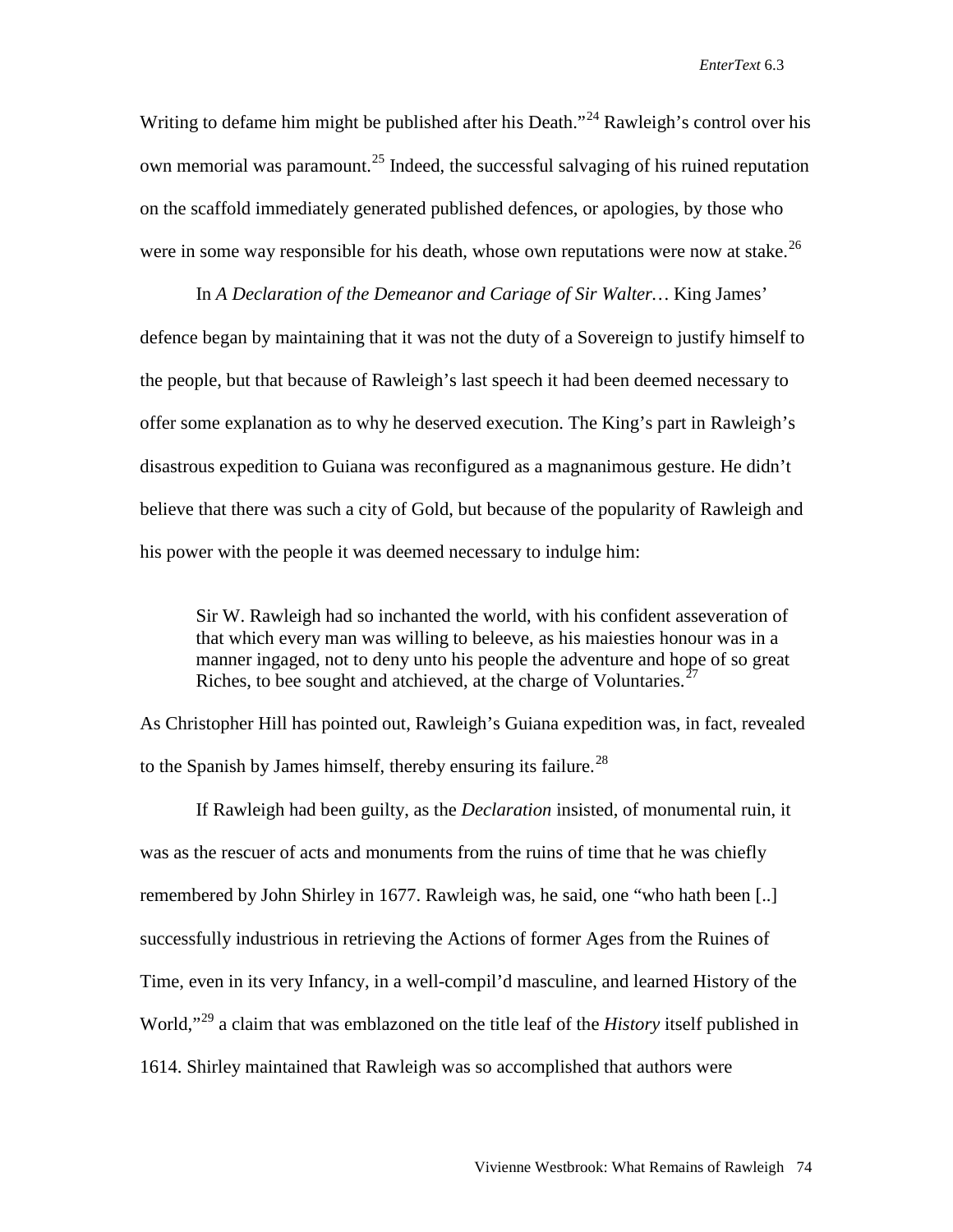Writing to defame him might be published after his Death."<sup>[24](#page-23-18)</sup> Rawleigh's control over his own memorial was paramount.<sup>[25](#page-23-19)</sup> Indeed, the successful salvaging of his ruined reputation on the scaffold immediately generated published defences, or apologies, by those who were in some way responsible for his death, whose own reputations were now at stake.<sup>[26](#page-23-20)</sup>

In *A Declaration of the Demeanor and Cariage of Sir Walter…* King James' defence began by maintaining that it was not the duty of a Sovereign to justify himself to the people, but that because of Rawleigh's last speech it had been deemed necessary to offer some explanation as to why he deserved execution. The King's part in Rawleigh's disastrous expedition to Guiana was reconfigured as a magnanimous gesture. He didn't believe that there was such a city of Gold, but because of the popularity of Rawleigh and his power with the people it was deemed necessary to indulge him:

Sir W. Rawleigh had so inchanted the world, with his confident asseveration of that which every man was willing to beleeve, as his maiesties honour was in a manner ingaged, not to deny unto his people the adventure and hope of so great Riches, to bee sought and atchieved, at the charge of Voluntaries.<sup>[27](#page-23-21)</sup>

As Christopher Hill has pointed out, Rawleigh's Guiana expedition was, in fact, revealed to the Spanish by James himself, thereby ensuring its failure.<sup>[28](#page-23-22)</sup>

If Rawleigh had been guilty, as the *Declaration* insisted, of monumental ruin, it was as the rescuer of acts and monuments from the ruins of time that he was chiefly remembered by John Shirley in 1677. Rawleigh was, he said, one "who hath been [..] successfully industrious in retrieving the Actions of former Ages from the Ruines of Time, even in its very Infancy, in a well-compil'd masculine, and learned History of the World,"[29](#page-23-23) a claim that was emblazoned on the title leaf of the *History* itself published in 1614. Shirley maintained that Rawleigh was so accomplished that authors were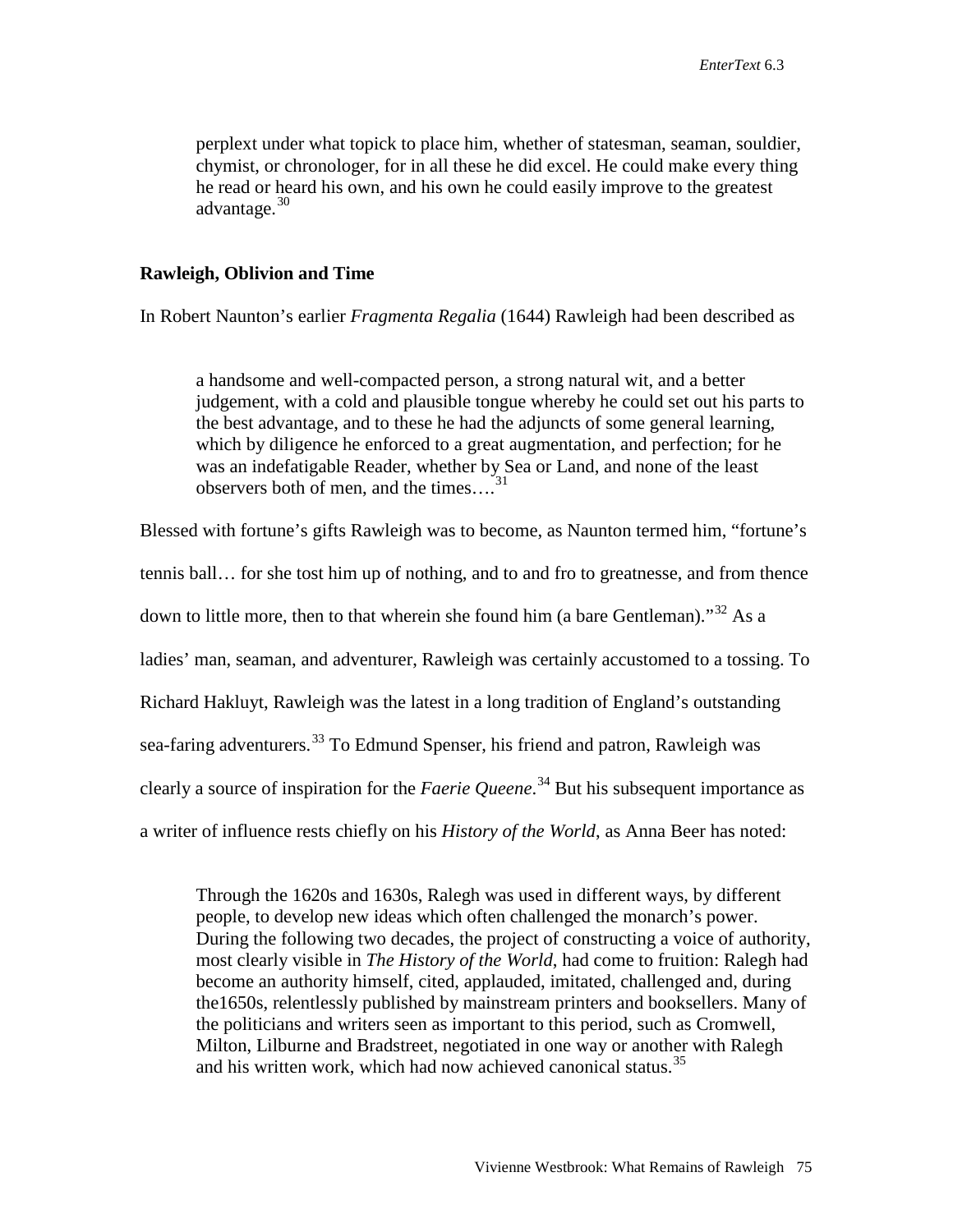perplext under what topick to place him, whether of statesman, seaman, souldier, chymist, or chronologer, for in all these he did excel. He could make every thing he read or heard his own, and his own he could easily improve to the greatest advantage.<sup>[30](#page-23-2)</sup>

## **Rawleigh, Oblivion and Time**

In Robert Naunton's earlier *Fragmenta Regalia* (1644) Rawleigh had been described as

a handsome and well-compacted person, a strong natural wit, and a better judgement, with a cold and plausible tongue whereby he could set out his parts to the best advantage, and to these he had the adjuncts of some general learning, which by diligence he enforced to a great augmentation, and perfection; for he was an indefatigable Reader, whether by Sea or Land, and none of the least observers both of men, and the times…. [31](#page-23-3)

Blessed with fortune's gifts Rawleigh was to become, as Naunton termed him, "fortune's tennis ball… for she tost him up of nothing, and to and fro to greatnesse, and from thence down to little more, then to that wherein she found him (a bare Gentleman)."<sup>[32](#page-23-24)</sup> As a ladies' man, seaman, and adventurer, Rawleigh was certainly accustomed to a tossing. To Richard Hakluyt, Rawleigh was the latest in a long tradition of England's outstanding sea-faring adventurers.<sup>[33](#page-23-25)</sup> To Edmund Spenser, his friend and patron, Rawleigh was clearly a source of inspiration for the *Faerie Queene*. [34](#page-23-26) But his subsequent importance as a writer of influence rests chiefly on his *History of the World*, as Anna Beer has noted:

Through the 1620s and 1630s, Ralegh was used in different ways, by different people, to develop new ideas which often challenged the monarch's power. During the following two decades, the project of constructing a voice of authority, most clearly visible in *The History of the World*, had come to fruition: Ralegh had become an authority himself, cited, applauded, imitated, challenged and, during the1650s, relentlessly published by mainstream printers and booksellers. Many of the politicians and writers seen as important to this period, such as Cromwell, Milton, Lilburne and Bradstreet, negotiated in one way or another with Ralegh and his written work, which had now achieved canonical status.<sup>[35](#page-23-27)</sup>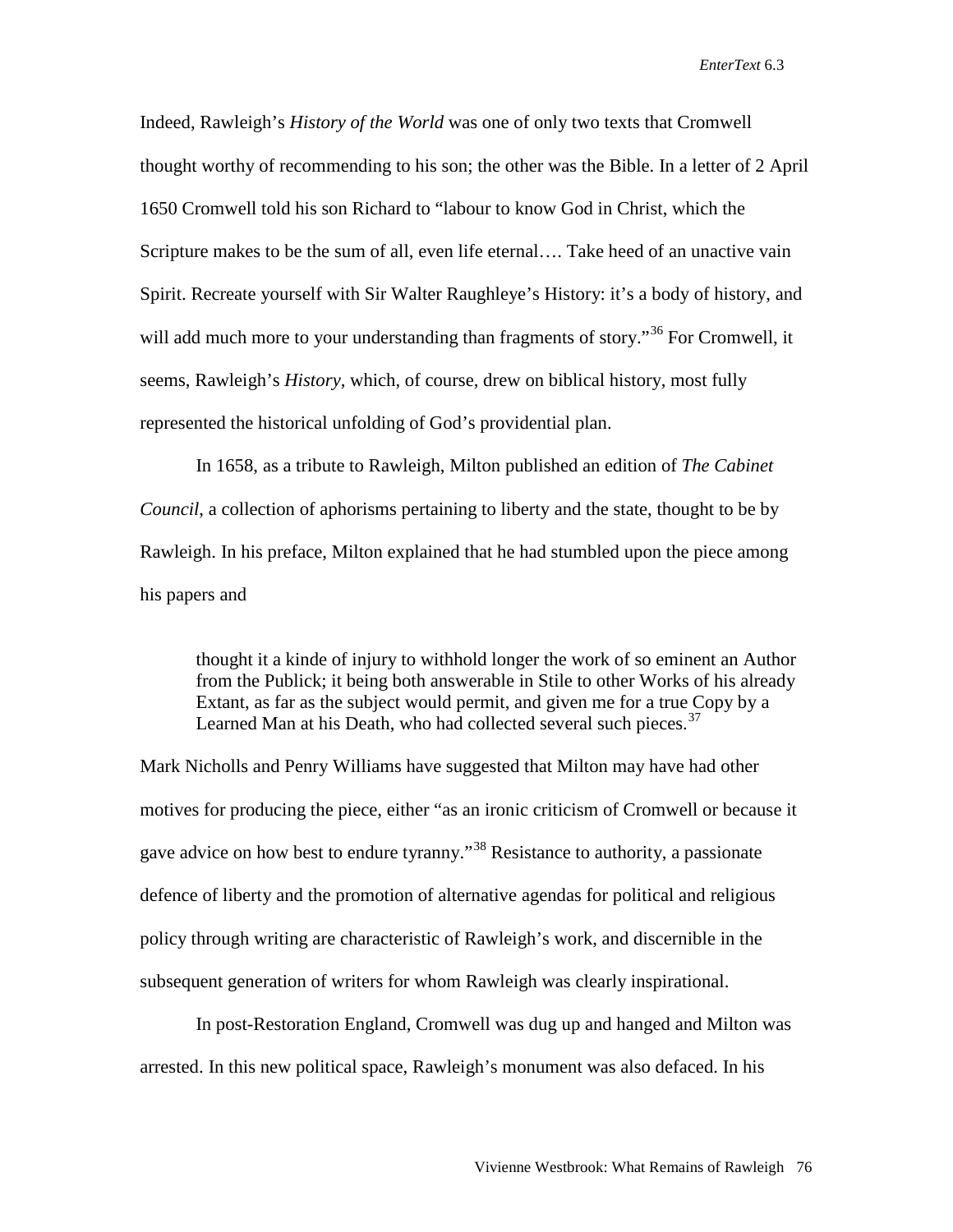Indeed, Rawleigh's *History of the World* was one of only two texts that Cromwell thought worthy of recommending to his son; the other was the Bible. In a letter of 2 April 1650 Cromwell told his son Richard to "labour to know God in Christ, which the Scripture makes to be the sum of all, even life eternal…. Take heed of an unactive vain Spirit. Recreate yourself with Sir Walter Raughleye's History: it's a body of history, and will add much more to your understanding than fragments of story.<sup>[36](#page-23-28)</sup> For Cromwell, it seems, Rawleigh's *History,* which, of course, drew on biblical history, most fully represented the historical unfolding of God's providential plan.

In 1658, as a tribute to Rawleigh, Milton published an edition of *The Cabinet Council*, a collection of aphorisms pertaining to liberty and the state, thought to be by Rawleigh. In his preface, Milton explained that he had stumbled upon the piece among his papers and

thought it a kinde of injury to withhold longer the work of so eminent an Author from the Publick; it being both answerable in Stile to other Works of his already Extant, as far as the subject would permit, and given me for a true Copy by a Learned Man at his Death, who had collected several such pieces.<sup>[37](#page-23-29)</sup>

Mark Nicholls and Penry Williams have suggested that Milton may have had other motives for producing the piece, either "as an ironic criticism of Cromwell or because it gave advice on how best to endure tyranny."<sup>[38](#page-23-30)</sup> Resistance to authority, a passionate defence of liberty and the promotion of alternative agendas for political and religious policy through writing are characteristic of Rawleigh's work, and discernible in the subsequent generation of writers for whom Rawleigh was clearly inspirational.

In post-Restoration England, Cromwell was dug up and hanged and Milton was arrested. In this new political space, Rawleigh's monument was also defaced. In his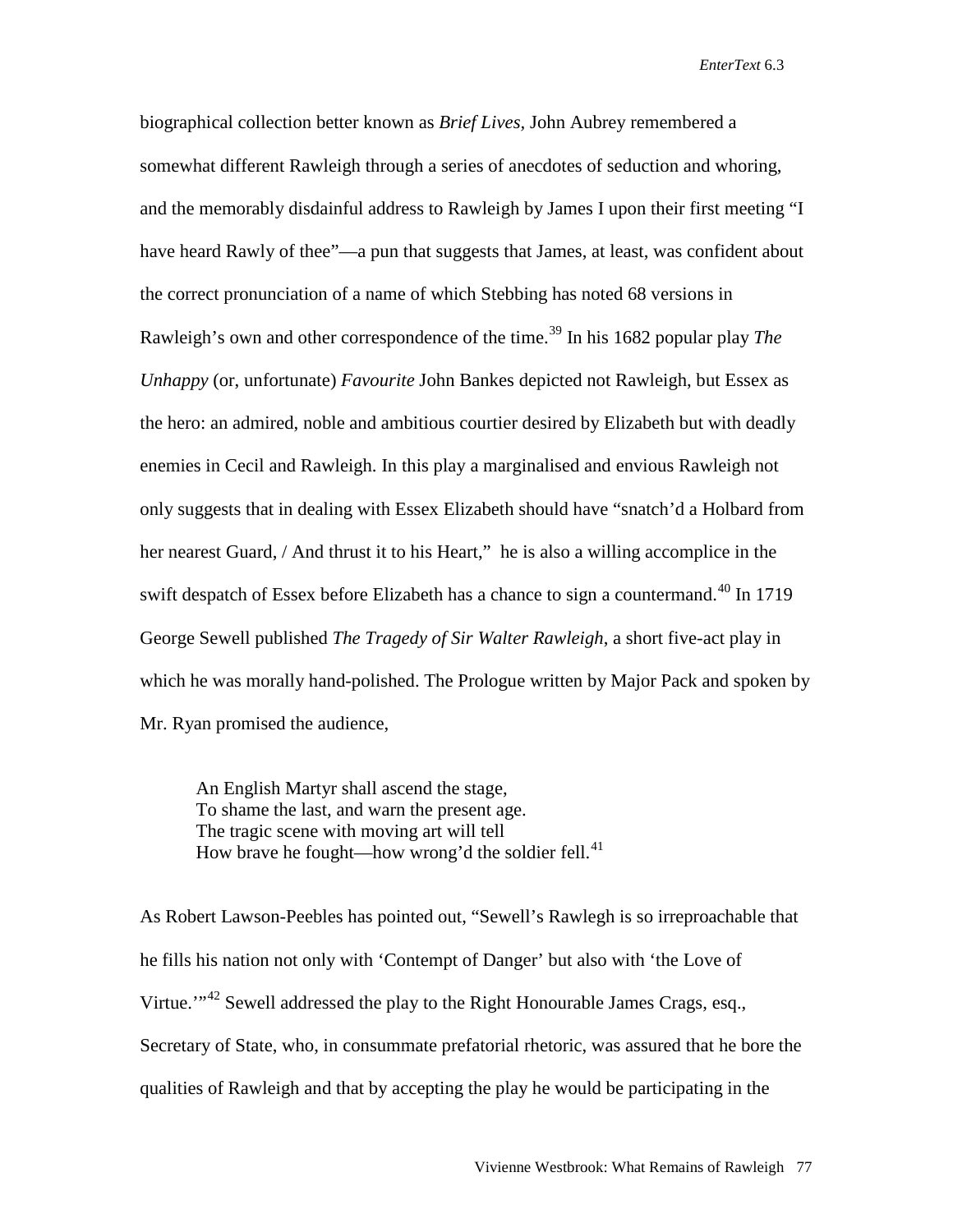biographical collection better known as *Brief Lives,* John Aubrey remembered a somewhat different Rawleigh through a series of anecdotes of seduction and whoring, and the memorably disdainful address to Rawleigh by James I upon their first meeting "I have heard Rawly of thee"—a pun that suggests that James, at least, was confident about the correct pronunciation of a name of which Stebbing has noted 68 versions in Rawleigh's own and other correspondence of the time.<sup>[39](#page-23-11)</sup> In his 1682 popular play *The Unhappy* (or, unfortunate) *Favourite* John Bankes depicted not Rawleigh, but Essex as the hero: an admired, noble and ambitious courtier desired by Elizabeth but with deadly enemies in Cecil and Rawleigh. In this play a marginalised and envious Rawleigh not only suggests that in dealing with Essex Elizabeth should have "snatch'd a Holbard from her nearest Guard, / And thrust it to his Heart," he is also a willing accomplice in the swift despatch of Essex before Elizabeth has a chance to sign a countermand.<sup>[40](#page-23-31)</sup> In 1719 George Sewell published *The Tragedy of Sir Walter Rawleigh*, a short five-act play in which he was morally hand-polished. The Prologue written by Major Pack and spoken by Mr. Ryan promised the audience,

An English Martyr shall ascend the stage, To shame the last, and warn the present age. The tragic scene with moving art will tell How brave he fought—how wrong'd the soldier fell. $41$ 

As Robert Lawson-Peebles has pointed out, "Sewell's Rawlegh is so irreproachable that he fills his nation not only with 'Contempt of Danger' but also with 'the Love of Virtue."<sup>[42](#page-23-15)</sup> Sewell addressed the play to the Right Honourable James Crags, esq., Secretary of State, who, in consummate prefatorial rhetoric, was assured that he bore the qualities of Rawleigh and that by accepting the play he would be participating in the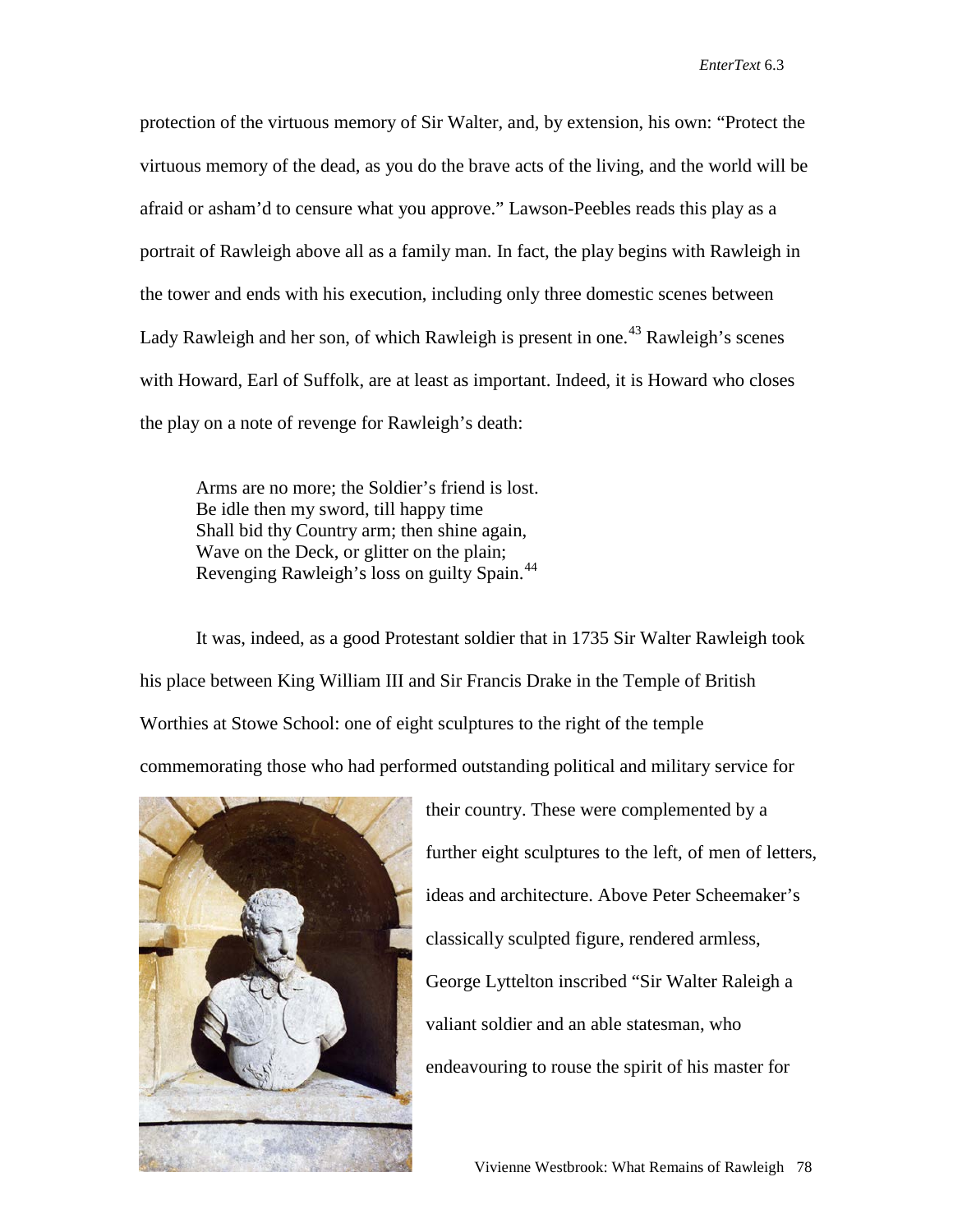protection of the virtuous memory of Sir Walter, and, by extension, his own: "Protect the virtuous memory of the dead, as you do the brave acts of the living, and the world will be afraid or asham'd to censure what you approve." Lawson-Peebles reads this play as a portrait of Rawleigh above all as a family man. In fact, the play begins with Rawleigh in the tower and ends with his execution, including only three domestic scenes between Lady Rawleigh and her son, of which Rawleigh is present in one.<sup>[43](#page-23-16)</sup> Rawleigh's scenes with Howard, Earl of Suffolk, are at least as important. Indeed, it is Howard who closes the play on a note of revenge for Rawleigh's death:

Arms are no more; the Soldier's friend is lost. Be idle then my sword, till happy time Shall bid thy Country arm; then shine again, Wave on the Deck, or glitter on the plain; Revenging Rawleigh's loss on guilty Spain.[44](#page-23-32)

It was, indeed, as a good Protestant soldier that in 1735 Sir Walter Rawleigh took his place between King William III and Sir Francis Drake in the Temple of British Worthies at Stowe School: one of eight sculptures to the right of the temple commemorating those who had performed outstanding political and military service for



their country. These were complemented by a further eight sculptures to the left, of men of letters, ideas and architecture. Above Peter Scheemaker's classically sculpted figure, rendered armless, George Lyttelton inscribed "Sir Walter Raleigh a valiant soldier and an able statesman, who endeavouring to rouse the spirit of his master for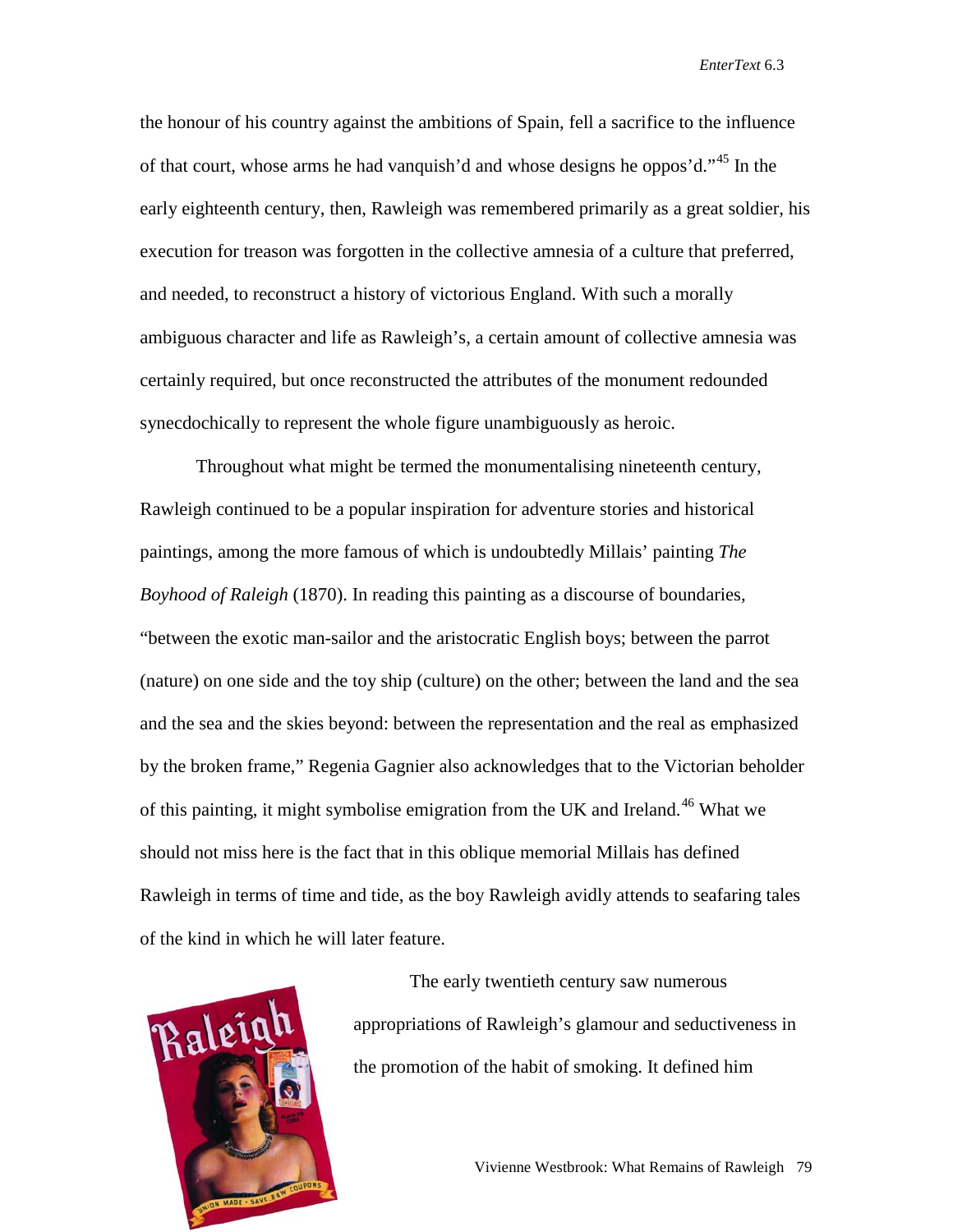the honour of his country against the ambitions of Spain, fell a sacrifice to the influence of that court, whose arms he had vanquish'd and whose designs he oppos'd."<sup>[45](#page-23-33)</sup> In the early eighteenth century, then, Rawleigh was remembered primarily as a great soldier, his execution for treason was forgotten in the collective amnesia of a culture that preferred, and needed, to reconstruct a history of victorious England. With such a morally ambiguous character and life as Rawleigh's, a certain amount of collective amnesia was certainly required, but once reconstructed the attributes of the monument redounded synecdochically to represent the whole figure unambiguously as heroic.

Throughout what might be termed the monumentalising nineteenth century, Rawleigh continued to be a popular inspiration for adventure stories and historical paintings, among the more famous of which is undoubtedly Millais' painting *The Boyhood of Raleigh* (1870). In reading this painting as a discourse of boundaries, "between the exotic man-sailor and the aristocratic English boys; between the parrot (nature) on one side and the toy ship (culture) on the other; between the land and the sea and the sea and the skies beyond: between the representation and the real as emphasized by the broken frame," Regenia Gagnier also acknowledges that to the Victorian beholder of this painting, it might symbolise emigration from the UK and Ireland.<sup>[46](#page-23-34)</sup> What we should not miss here is the fact that in this oblique memorial Millais has defined Rawleigh in terms of time and tide, as the boy Rawleigh avidly attends to seafaring tales of the kind in which he will later feature.



The early twentieth century saw numerous appropriations of Rawleigh's glamour and seductiveness in the promotion of the habit of smoking. It defined him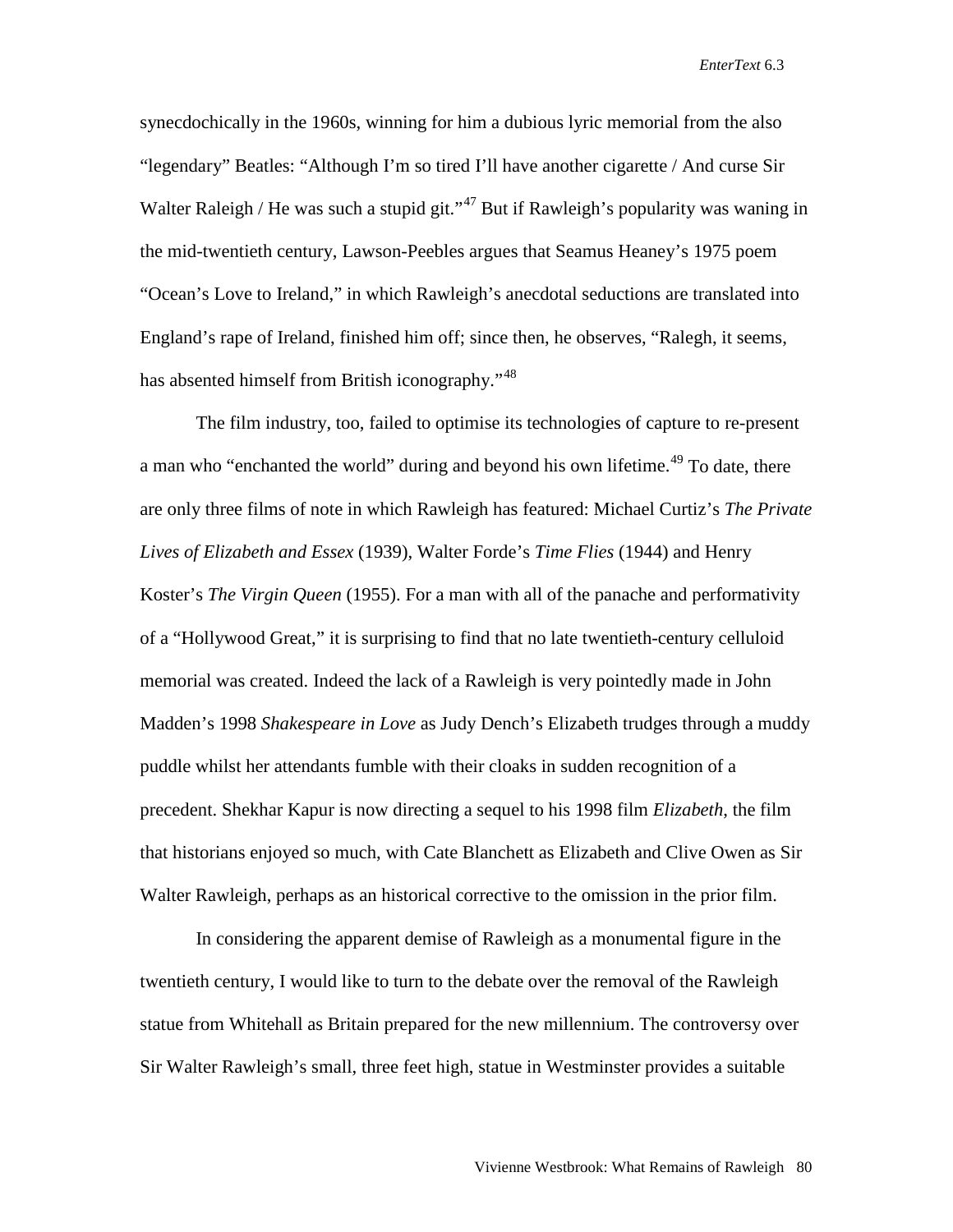synecdochically in the 1960s, winning for him a dubious lyric memorial from the also "legendary" Beatles: "Although I'm so tired I'll have another cigarette / And curse Sir Walter Raleigh / He was such a stupid git."<sup>[47](#page-23-35)</sup> But if Rawleigh's popularity was waning in the mid-twentieth century, Lawson-Peebles argues that Seamus Heaney's 1975 poem "Ocean's Love to Ireland," in which Rawleigh's anecdotal seductions are translated into England's rape of Ireland, finished him off; since then, he observes, "Ralegh, it seems, has absented himself from British iconography."<sup>[48](#page-23-19)</sup>

The film industry, too, failed to optimise its technologies of capture to re-present a man who "enchanted the world" during and beyond his own lifetime.<sup>[49](#page-23-36)</sup> To date, there are only three films of note in which Rawleigh has featured: Michael Curtiz's *The Private Lives of Elizabeth and Essex* (1939), Walter Forde's *Time Flies* (1944) and Henry Koster's *The Virgin Queen* (1955). For a man with all of the panache and performativity of a "Hollywood Great," it is surprising to find that no late twentieth-century celluloid memorial was created. Indeed the lack of a Rawleigh is very pointedly made in John Madden's 1998 *Shakespeare in Love* as Judy Dench's Elizabeth trudges through a muddy puddle whilst her attendants fumble with their cloaks in sudden recognition of a precedent. Shekhar Kapur is now directing a sequel to his 1998 film *Elizabeth*, the film that historians enjoyed so much, with Cate Blanchett as Elizabeth and Clive Owen as Sir Walter Rawleigh, perhaps as an historical corrective to the omission in the prior film.

In considering the apparent demise of Rawleigh as a monumental figure in the twentieth century, I would like to turn to the debate over the removal of the Rawleigh statue from Whitehall as Britain prepared for the new millennium. The controversy over Sir Walter Rawleigh's small, three feet high, statue in Westminster provides a suitable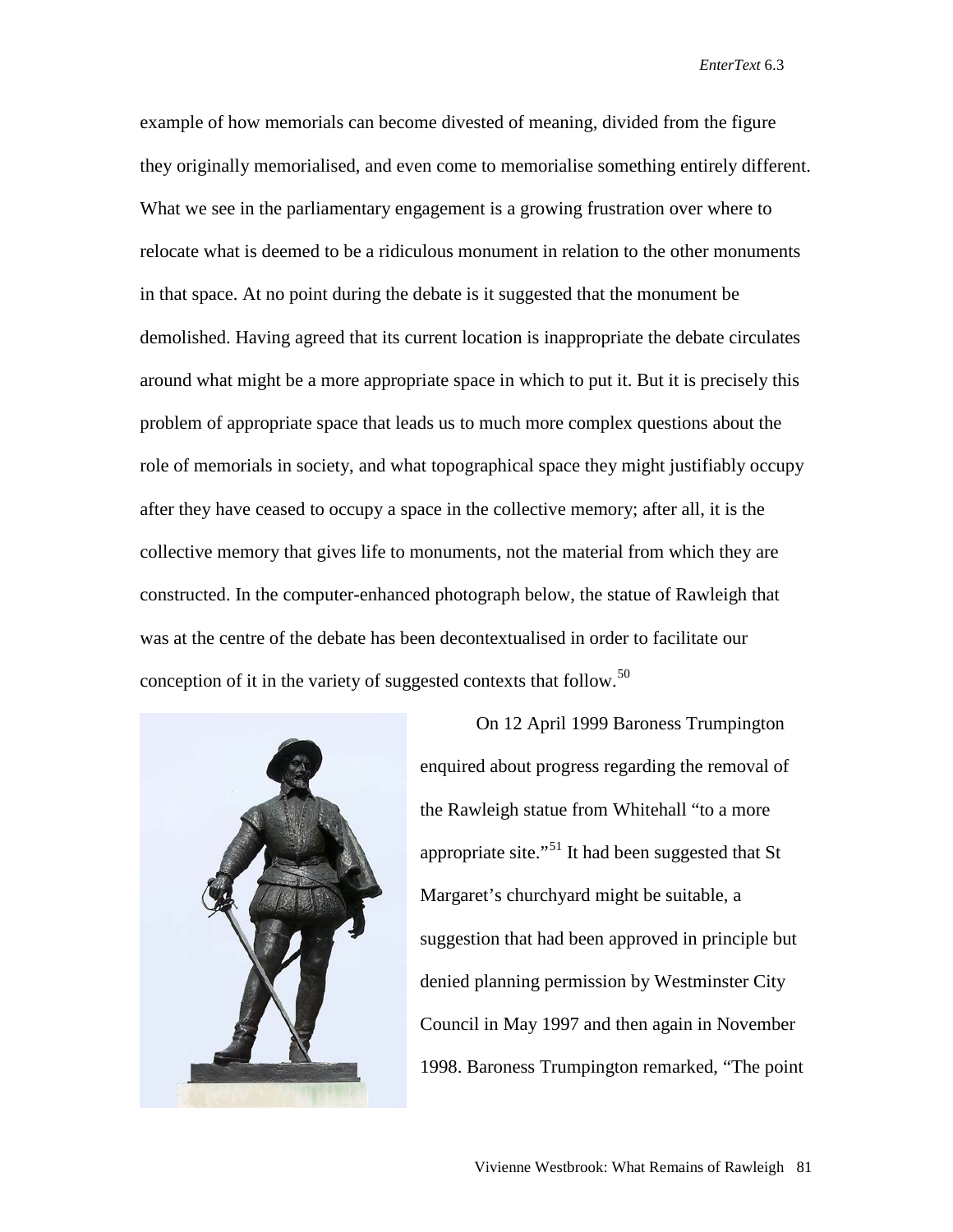example of how memorials can become divested of meaning, divided from the figure they originally memorialised, and even come to memorialise something entirely different. What we see in the parliamentary engagement is a growing frustration over where to relocate what is deemed to be a ridiculous monument in relation to the other monuments in that space. At no point during the debate is it suggested that the monument be demolished. Having agreed that its current location is inappropriate the debate circulates around what might be a more appropriate space in which to put it. But it is precisely this problem of appropriate space that leads us to much more complex questions about the role of memorials in society, and what topographical space they might justifiably occupy after they have ceased to occupy a space in the collective memory; after all, it is the collective memory that gives life to monuments, not the material from which they are constructed. In the computer-enhanced photograph below, the statue of Rawleigh that was at the centre of the debate has been decontextualised in order to facilitate our conception of it in the variety of suggested contexts that follow.<sup>[50](#page-23-20)</sup>



On 12 April 1999 Baroness Trumpington enquired about progress regarding the removal of the Rawleigh statue from Whitehall "to a more appropriate site."[51](#page-23-37) It had been suggested that St Margaret's churchyard might be suitable, a suggestion that had been approved in principle but denied planning permission by Westminster City Council in May 1997 and then again in November 1998. Baroness Trumpington remarked, "The point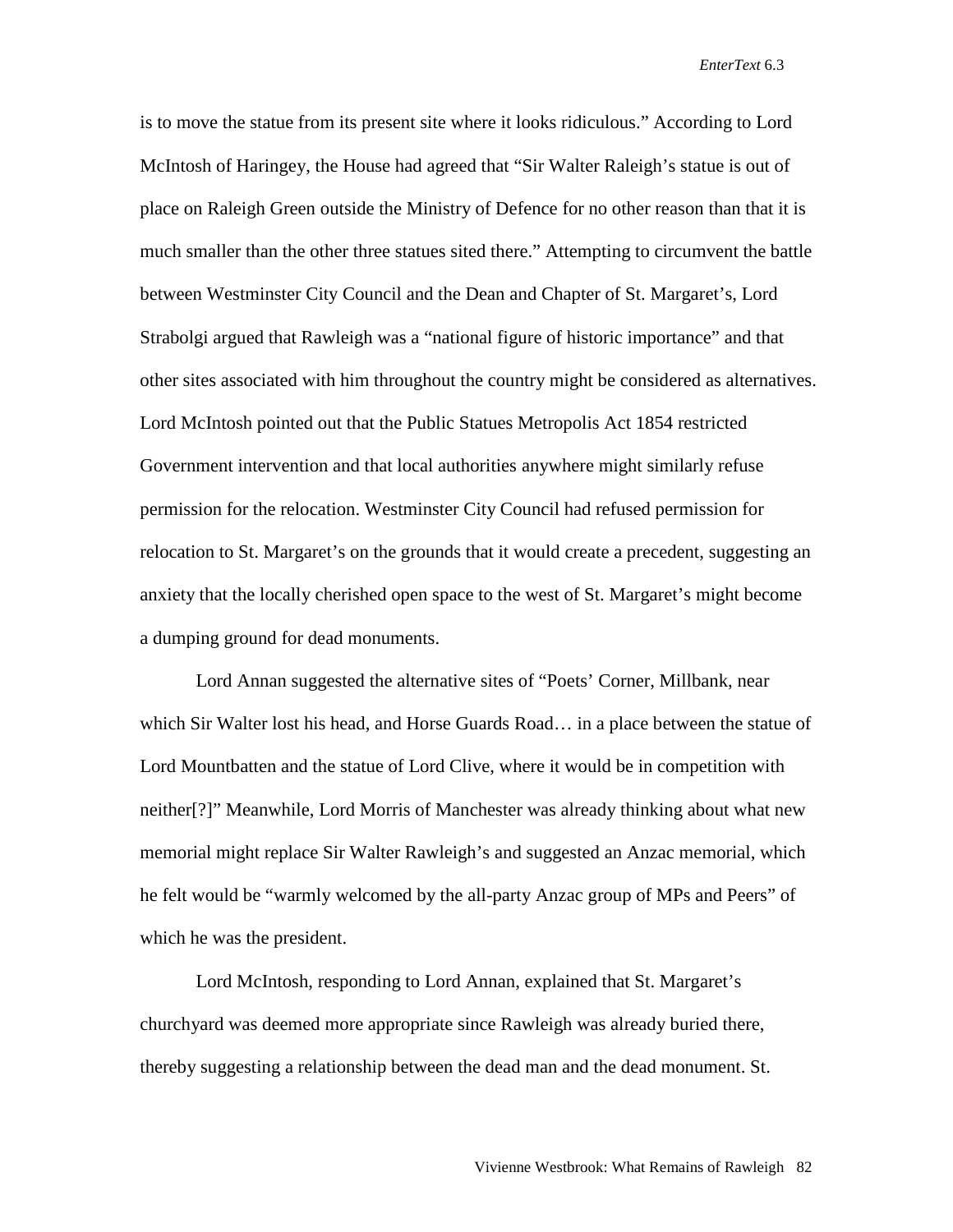is to move the statue from its present site where it looks ridiculous." According to Lord McIntosh of Haringey, the House had agreed that "Sir Walter Raleigh's statue is out of place on Raleigh Green outside the Ministry of Defence for no other reason than that it is much smaller than the other three statues sited there." Attempting to circumvent the battle between Westminster City Council and the Dean and Chapter of St. Margaret's, Lord Strabolgi argued that Rawleigh was a "national figure of historic importance" and that other sites associated with him throughout the country might be considered as alternatives. Lord McIntosh pointed out that the Public Statues Metropolis Act 1854 restricted Government intervention and that local authorities anywhere might similarly refuse permission for the relocation. Westminster City Council had refused permission for relocation to St. Margaret's on the grounds that it would create a precedent, suggesting an anxiety that the locally cherished open space to the west of St. Margaret's might become a dumping ground for dead monuments.

Lord Annan suggested the alternative sites of "Poets' Corner, Millbank, near which Sir Walter lost his head, and Horse Guards Road… in a place between the statue of Lord Mountbatten and the statue of Lord Clive, where it would be in competition with neither[?]" Meanwhile, Lord Morris of Manchester was already thinking about what new memorial might replace Sir Walter Rawleigh's and suggested an Anzac memorial, which he felt would be "warmly welcomed by the all-party Anzac group of MPs and Peers" of which he was the president.

Lord McIntosh, responding to Lord Annan, explained that St. Margaret's churchyard was deemed more appropriate since Rawleigh was already buried there, thereby suggesting a relationship between the dead man and the dead monument. St.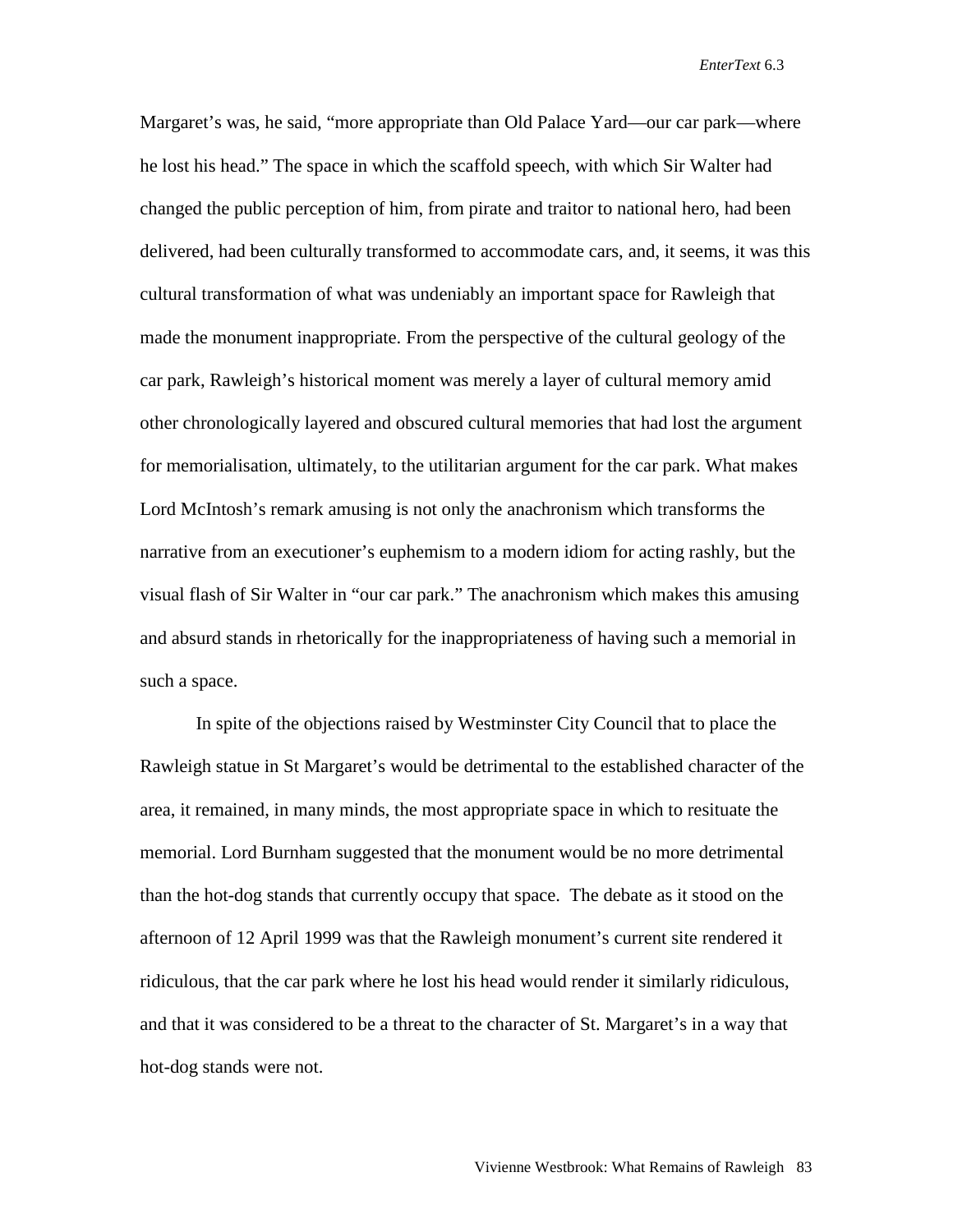Margaret's was, he said, "more appropriate than Old Palace Yard—our car park—where he lost his head." The space in which the scaffold speech, with which Sir Walter had changed the public perception of him, from pirate and traitor to national hero, had been delivered, had been culturally transformed to accommodate cars, and, it seems, it was this cultural transformation of what was undeniably an important space for Rawleigh that made the monument inappropriate. From the perspective of the cultural geology of the car park, Rawleigh's historical moment was merely a layer of cultural memory amid other chronologically layered and obscured cultural memories that had lost the argument for memorialisation, ultimately, to the utilitarian argument for the car park. What makes Lord McIntosh's remark amusing is not only the anachronism which transforms the narrative from an executioner's euphemism to a modern idiom for acting rashly, but the visual flash of Sir Walter in "our car park." The anachronism which makes this amusing and absurd stands in rhetorically for the inappropriateness of having such a memorial in such a space.

In spite of the objections raised by Westminster City Council that to place the Rawleigh statue in St Margaret's would be detrimental to the established character of the area, it remained, in many minds, the most appropriate space in which to resituate the memorial. Lord Burnham suggested that the monument would be no more detrimental than the hot-dog stands that currently occupy that space. The debate as it stood on the afternoon of 12 April 1999 was that the Rawleigh monument's current site rendered it ridiculous, that the car park where he lost his head would render it similarly ridiculous, and that it was considered to be a threat to the character of St. Margaret's in a way that hot-dog stands were not.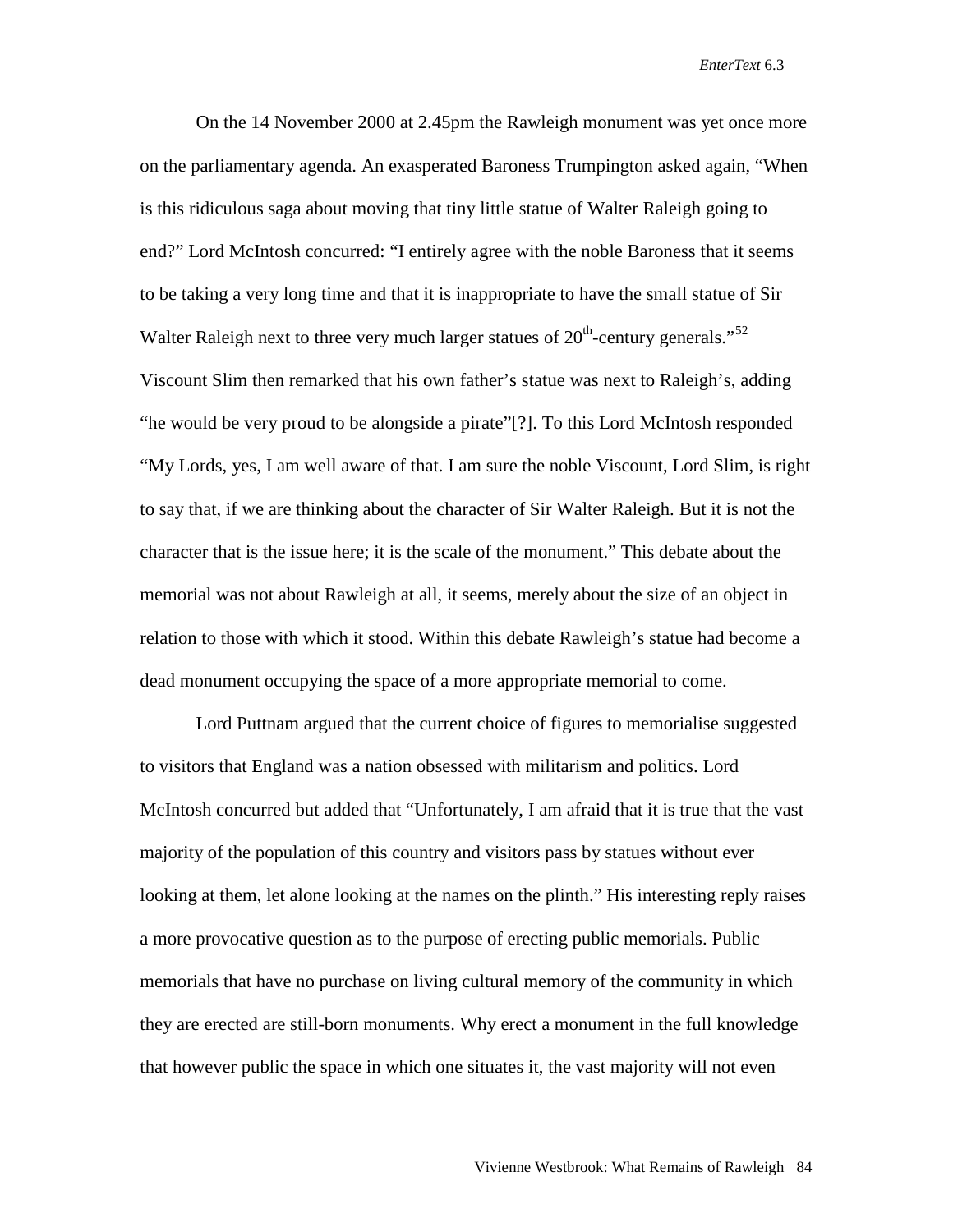On the 14 November 2000 at 2.45pm the Rawleigh monument was yet once more on the parliamentary agenda. An exasperated Baroness Trumpington asked again, "When is this ridiculous saga about moving that tiny little statue of Walter Raleigh going to end?" Lord McIntosh concurred: "I entirely agree with the noble Baroness that it seems to be taking a very long time and that it is inappropriate to have the small statue of Sir Walter Raleigh next to three very much larger statues of  $20<sup>th</sup>$ -century generals."<sup>[52](#page-23-22)</sup> Viscount Slim then remarked that his own father's statue was next to Raleigh's, adding "he would be very proud to be alongside a pirate"[?]. To this Lord McIntosh responded "My Lords, yes, I am well aware of that. I am sure the noble Viscount, Lord Slim, is right to say that, if we are thinking about the character of Sir Walter Raleigh. But it is not the character that is the issue here; it is the scale of the monument." This debate about the memorial was not about Rawleigh at all, it seems, merely about the size of an object in relation to those with which it stood. Within this debate Rawleigh's statue had become a dead monument occupying the space of a more appropriate memorial to come.

Lord Puttnam argued that the current choice of figures to memorialise suggested to visitors that England was a nation obsessed with militarism and politics. Lord McIntosh concurred but added that "Unfortunately, I am afraid that it is true that the vast majority of the population of this country and visitors pass by statues without ever looking at them, let alone looking at the names on the plinth." His interesting reply raises a more provocative question as to the purpose of erecting public memorials. Public memorials that have no purchase on living cultural memory of the community in which they are erected are still-born monuments. Why erect a monument in the full knowledge that however public the space in which one situates it, the vast majority will not even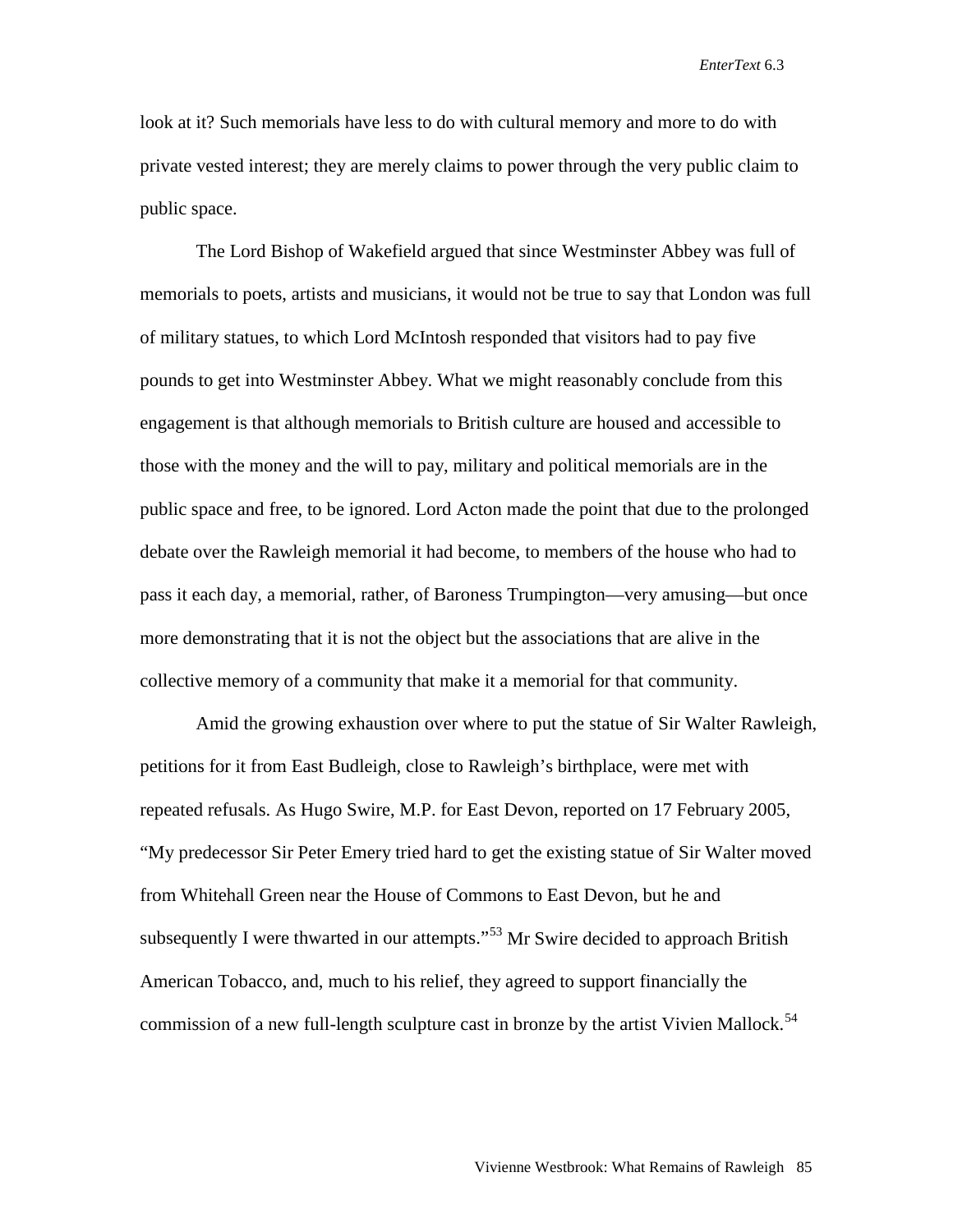look at it? Such memorials have less to do with cultural memory and more to do with private vested interest; they are merely claims to power through the very public claim to public space.

The Lord Bishop of Wakefield argued that since Westminster Abbey was full of memorials to poets, artists and musicians, it would not be true to say that London was full of military statues, to which Lord McIntosh responded that visitors had to pay five pounds to get into Westminster Abbey. What we might reasonably conclude from this engagement is that although memorials to British culture are housed and accessible to those with the money and the will to pay, military and political memorials are in the public space and free, to be ignored. Lord Acton made the point that due to the prolonged debate over the Rawleigh memorial it had become, to members of the house who had to pass it each day, a memorial, rather, of Baroness Trumpington—very amusing—but once more demonstrating that it is not the object but the associations that are alive in the collective memory of a community that make it a memorial for that community.

Amid the growing exhaustion over where to put the statue of Sir Walter Rawleigh, petitions for it from East Budleigh, close to Rawleigh's birthplace, were met with repeated refusals. As Hugo Swire, M.P. for East Devon, reported on 17 February 2005, "My predecessor Sir Peter Emery tried hard to get the existing statue of Sir Walter moved from Whitehall Green near the House of Commons to East Devon, but he and subsequently I were thwarted in our attempts."<sup>[53](#page-23-0)</sup> Mr Swire decided to approach British American Tobacco, and, much to his relief, they agreed to support financially the commission of a new full-length sculpture cast in bronze by the artist Vivien Mallock.<sup>[54](#page-23-1)</sup>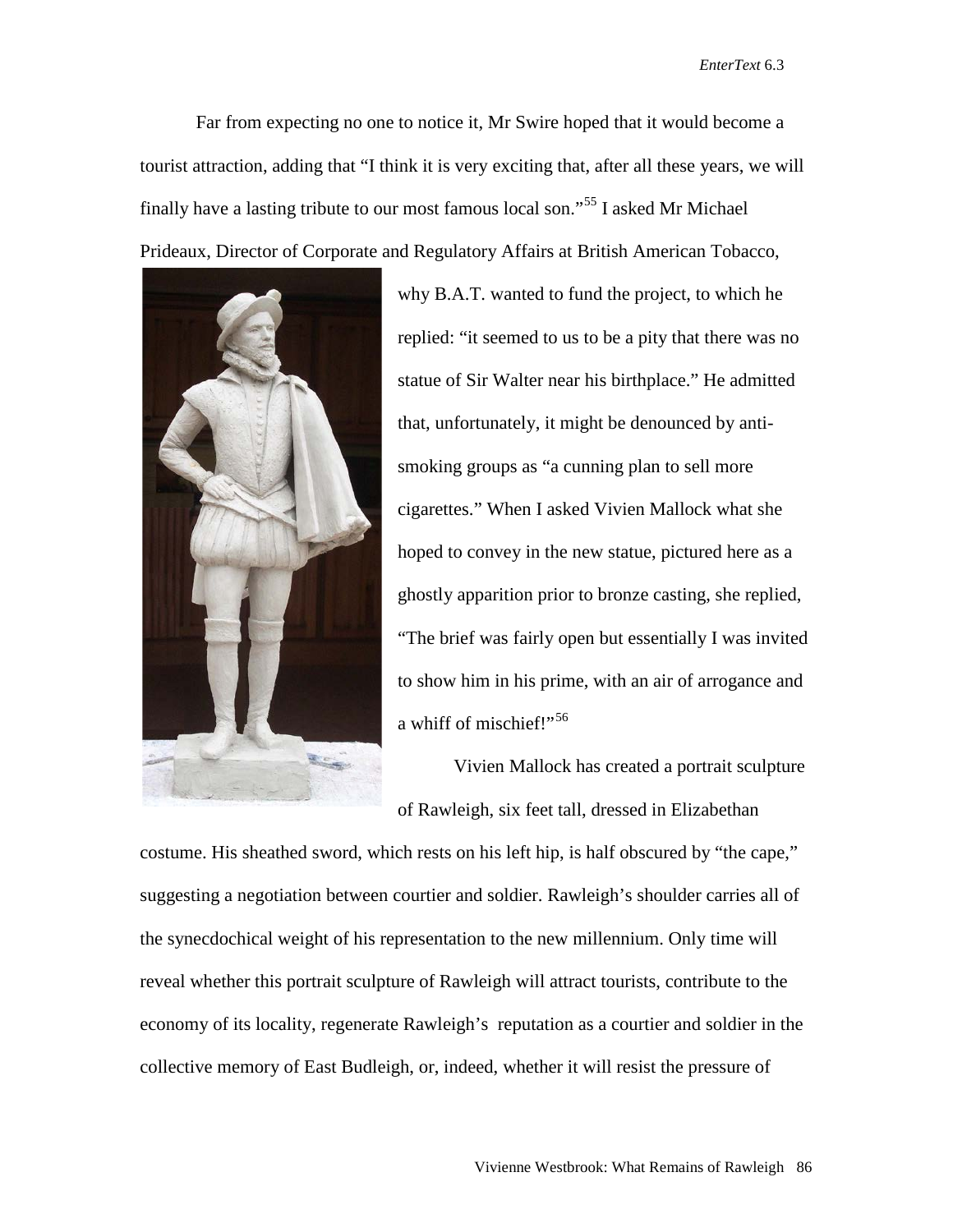Far from expecting no one to notice it, Mr Swire hoped that it would become a tourist attraction, adding that "I think it is very exciting that, after all these years, we will finally have a lasting tribute to our most famous local son."[55](#page-23-2) I asked Mr Michael Prideaux, Director of Corporate and Regulatory Affairs at British American Tobacco,



why B.A.T. wanted to fund the project, to which he replied: "it seemed to us to be a pity that there was no statue of Sir Walter near his birthplace." He admitted that, unfortunately, it might be denounced by antismoking groups as "a cunning plan to sell more cigarettes." When I asked Vivien Mallock what she hoped to convey in the new statue, pictured here as a ghostly apparition prior to bronze casting, she replied, "The brief was fairly open but essentially I was invited to show him in his prime, with an air of arrogance and a whiff of mischief!"<sup>[56](#page-23-38)</sup>

Vivien Mallock has created a portrait sculpture of Rawleigh, six feet tall, dressed in Elizabethan

costume. His sheathed sword, which rests on his left hip, is half obscured by "the cape," suggesting a negotiation between courtier and soldier. Rawleigh's shoulder carries all of the synecdochical weight of his representation to the new millennium. Only time will reveal whether this portrait sculpture of Rawleigh will attract tourists, contribute to the economy of its locality, regenerate Rawleigh's reputation as a courtier and soldier in the collective memory of East Budleigh, or, indeed, whether it will resist the pressure of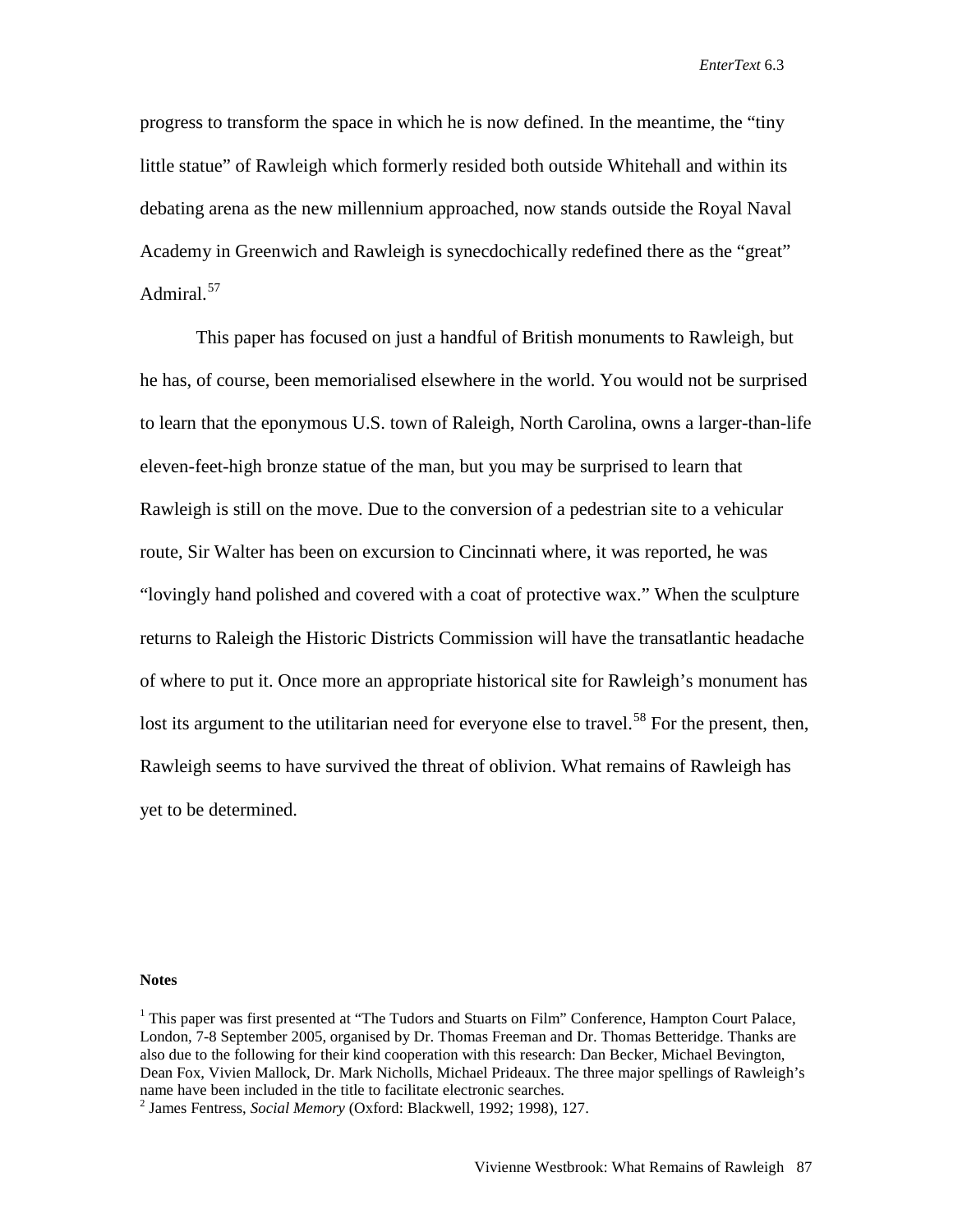progress to transform the space in which he is now defined. In the meantime, the "tiny little statue" of Rawleigh which formerly resided both outside Whitehall and within its debating arena as the new millennium approached, now stands outside the Royal Naval Academy in Greenwich and Rawleigh is synecdochically redefined there as the "great" Admiral.<sup>[57](#page-23-3)</sup>

This paper has focused on just a handful of British monuments to Rawleigh, but he has, of course, been memorialised elsewhere in the world. You would not be surprised to learn that the eponymous U.S. town of Raleigh, North Carolina, owns a larger-than-life eleven-feet-high bronze statue of the man, but you may be surprised to learn that Rawleigh is still on the move. Due to the conversion of a pedestrian site to a vehicular route, Sir Walter has been on excursion to Cincinnati where, it was reported, he was "lovingly hand polished and covered with a coat of protective wax." When the sculpture returns to Raleigh the Historic Districts Commission will have the transatlantic headache of where to put it. Once more an appropriate historical site for Rawleigh's monument has lost its argument to the utilitarian need for everyone else to travel.<sup>[58](#page-23-39)</sup> For the present, then, Rawleigh seems to have survived the threat of oblivion. What remains of Rawleigh has yet to be determined.

**Notes**

<sup>&</sup>lt;sup>1</sup> This paper was first presented at "The Tudors and Stuarts on Film" Conference, Hampton Court Palace, London, 7-8 September 2005, organised by Dr. Thomas Freeman and Dr. Thomas Betteridge. Thanks are also due to the following for their kind cooperation with this research: Dan Becker, Michael Bevington, Dean Fox, Vivien Mallock, Dr. Mark Nicholls, Michael Prideaux. The three major spellings of Rawleigh's name have been included in the title to facilitate electronic searches. <sup>2</sup> James Fentress, *Social Memory* (Oxford: Blackwell, 1992; 1998), 127.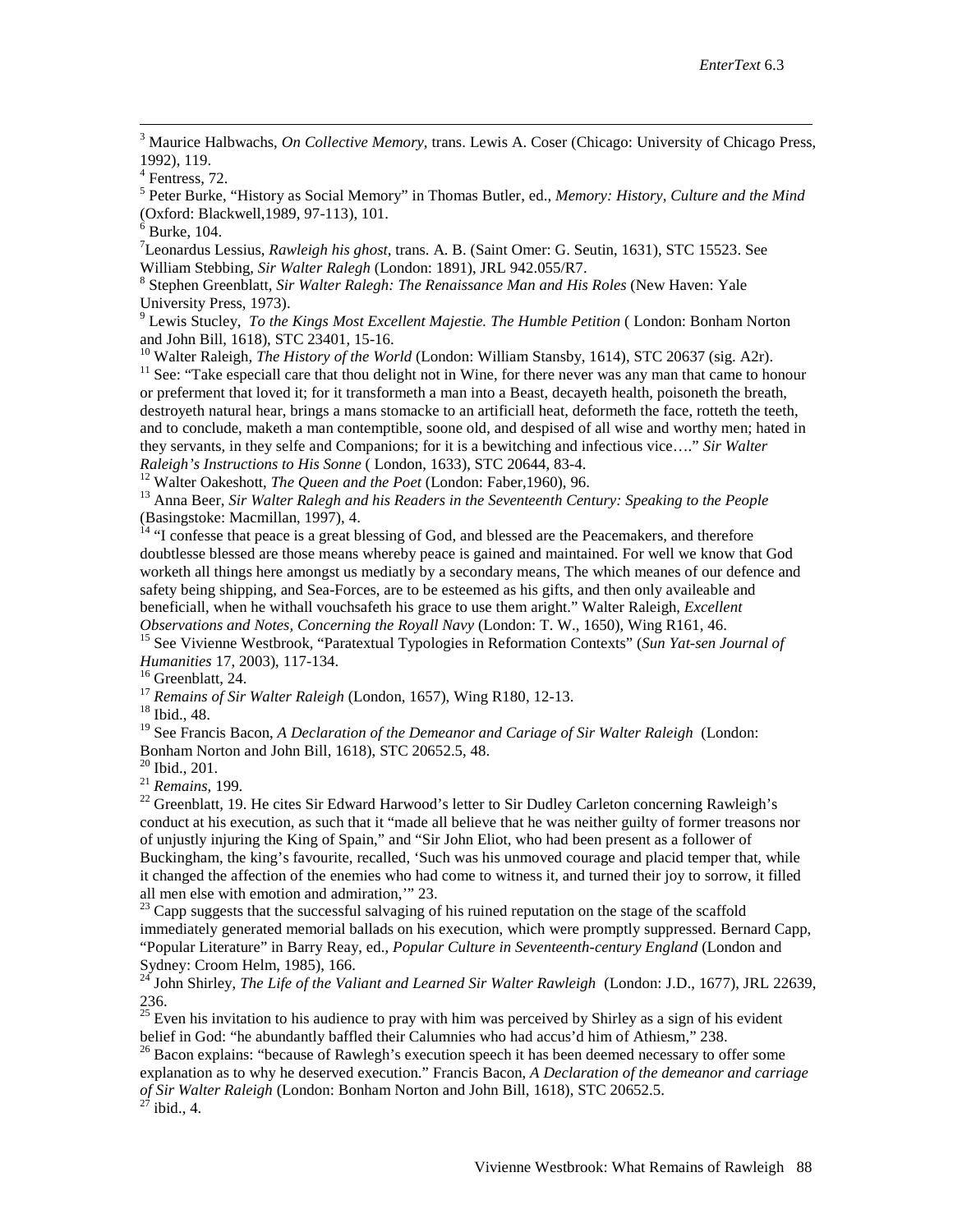<span id="page-21-2"></span><sup>3</sup> Maurice Halbwachs, *On Collective Memory*, trans. Lewis A. Coser (Chicago: University of Chicago Press, 1992), 119.

<sup>5</sup> Peter Burke, "History as Social Memory" in Thomas Butler, ed., *Memory: History, Culture and the Mind* (Oxford: Blackwell,1989, 97-113), 101. <sup>6</sup> Burke, 104.

7 Leonardus Lessius, *Rawleigh his ghost,* trans. A. B. (Saint Omer: G. Seutin, 1631), STC 15523. See

William Stebbing, *Sir Walter Ralegh* (London: 1891), JRL 942.055/R7.<br><sup>8</sup> Stephen Greenblatt, *Sir Walter Ralegh: The Renaissance Man and His Roles* (New Haven: Yale University Press, 1973).

<sup>9</sup> Lewis Stucley, *To the Kings Most Excellent Majestie. The Humble Petition* (London: Bonham Norton

and John Bill, 1618), STC 23401, 15-16.<br><sup>10</sup> Walter Raleigh, *The History of the World* (London: William Stansby, 1614), STC 20637 (sig. A2r).<br><sup>11</sup> See: "Take especiall care that thou delight not in Wine, for there never or preferment that loved it; for it transformeth a man into a Beast, decayeth health, poisoneth the breath, destroyeth natural hear, brings a mans stomacke to an artificiall heat, deformeth the face, rotteth the teeth, and to conclude, maketh a man contemptible, soone old, and despised of all wise and worthy men; hated in they servants, in they selfe and Companions; for it is a bewitching and infectious vice…." *Sir Walter* 

<sup>12</sup> Walter Oakeshott, *The Queen and the Poet* (London: Faber, 1960), 96.<br><sup>13</sup> Anna Beer, *Sir Walter Ralegh and his Readers in the Seventeenth Century: Speaking to the People* (Basingstoke: Macmillan, 1997), 4.

 $<sup>14</sup>$  "I confesse that peace is a great blessing of God, and blessed are the Peacemakers, and therefore</sup> doubtlesse blessed are those means whereby peace is gained and maintained. For well we know that God worketh all things here amongst us mediatly by a secondary means, The which meanes of our defence and safety being shipping, and Sea-Forces, are to be esteemed as his gifts, and then only availeable and beneficiall, when he withall vouchsafeth his grace to use them aright." Walter Raleigh, *Excellent Observations and Notes, Concerning the Royall Navy* (London: T. W., 1650), Wing R161, 46.

<sup>15</sup> See Vivienne Westbrook, "Paratextual Typologies in Reformation Contexts" (*Sun Yat-sen Journal of Humanities* 17, 2003), 117-134.

<sup>16</sup> Greenblatt, 24. <sup>17</sup> *Remains of Sir Walter Raleigh* (London, 1657), Wing R180, 12-13. <sup>18</sup> Ibid., 48.

<sup>19</sup> See Francis Bacon, *A Declaration of the Demeanor and Cariage of Sir Walter Raleigh* (London: Bonham Norton and John Bill, 1618), STC 20652.5, 48.

<sup>20</sup> Ibid., 201.<br><sup>21</sup> *Remains*, 199.<br><sup>22</sup> Greenblatt, 19. He cites Sir Edward Harwood's letter to Sir Dudley Carleton concerning Rawleigh's conduct at his execution, as such that it "made all believe that he was neither guilty of former treasons nor of unjustly injuring the King of Spain," and "Sir John Eliot, who had been present as a follower of Buckingham, the king's favourite, recalled, 'Such was his unmoved courage and placid temper that, while it changed the affection of the enemies who had come to witness it, and turned their joy to sorrow, it filled all men else with emotion and admiration," 23.

 $^{23}$  Capp suggests that the successful salvaging of his ruined reputation on the stage of the scaffold immediately generated memorial ballads on his execution, which were promptly suppressed. Bernard Capp, "Popular Literature" in Barry Reay, ed., *Popular Culture in Seventeenth-century England* (London and Sydney: Croom Helm, 1985), 166.<br><sup>24</sup> John Shirley, *The Life of the Valiant and Learned Sir Walter Rawleigh* (London: J.D., 1677), JRL 22639,

236.

<span id="page-21-0"></span><sup>25</sup> Even his invitation to his audience to pray with him was perceived by Shirley as a sign of his evident belief in God: "he abundantly baffled their Calumnies who had accus'd him of Athiesm," 238.

<span id="page-21-1"></span><sup>26</sup> Bacon explains: "because of Rawlegh's execution speech it has been deemed necessary to offer some explanation as to why he deserved execution." Francis Bacon, *A Declaration of the demeanor and carriage of Sir Walter Raleigh* (London: Bonham Norton and John Bill, 1618), STC 20652.5.<br><sup>27</sup> ibid., 4.

<sup>4</sup> Fentress, 72.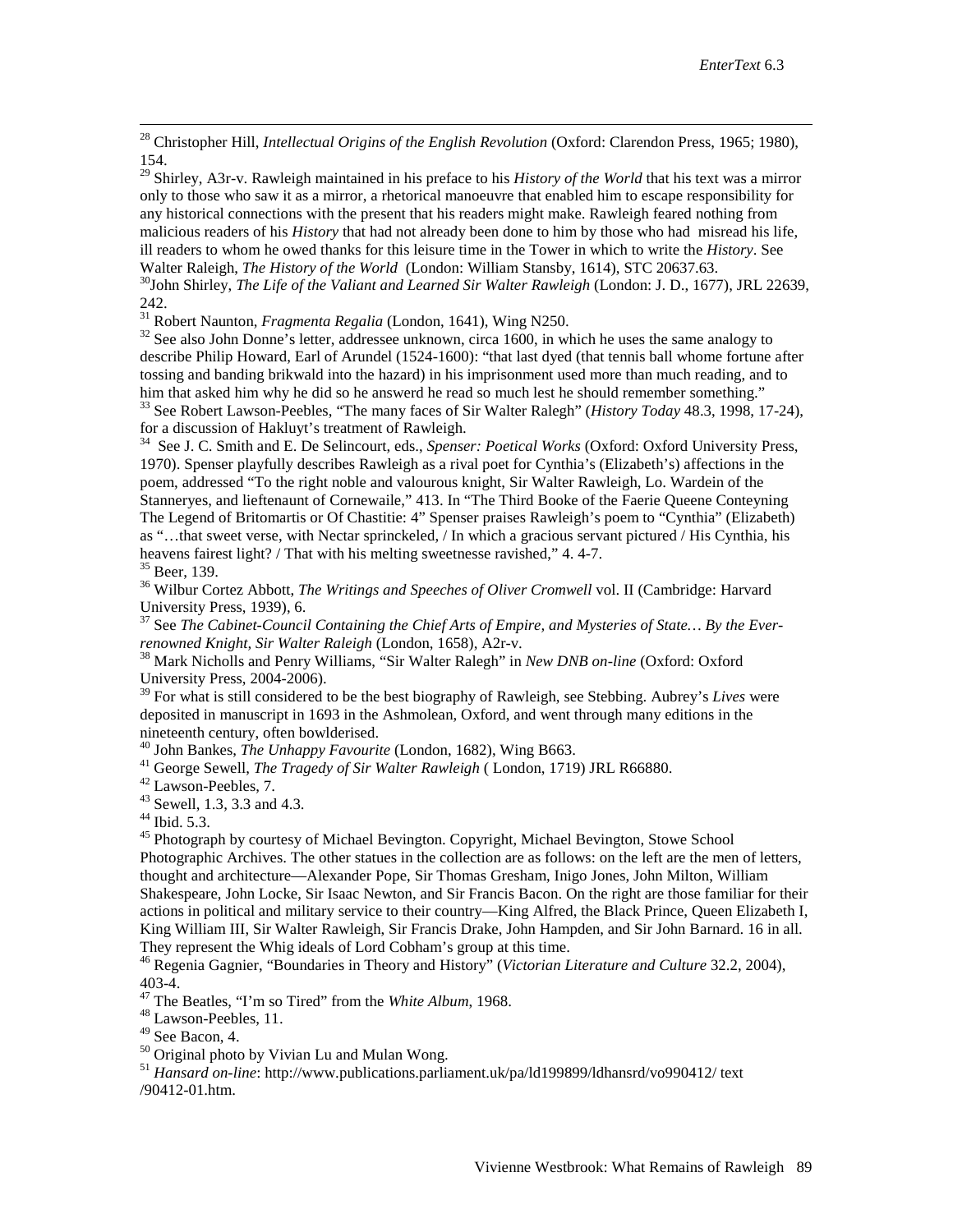<sup>28</sup> Christopher Hill, *Intellectual Origins of the English Revolution* (Oxford: Clarendon Press, 1965; 1980), 154.

<span id="page-22-1"></span><span id="page-22-0"></span><sup>29</sup> Shirley, A3r-v. Rawleigh maintained in his preface to his *History of the World* that his text was a mirror only to those who saw it as a mirror, a rhetorical manoeuvre that enabled him to escape responsibility for any historical connections with the present that his readers might make. Rawleigh feared nothing from malicious readers of his *History* that had not already been done to him by those who had misread his life, ill readers to whom he owed thanks for this leisure time in the Tower in which to write the *History*. See Walter Raleigh, *The History of the World* (London: William Stansby, 1614), STC 20637.63.<br><sup>30</sup>John Shirley, *The Life of the Valiant and Learned Sir Walter Rawleigh* (London: J. D., 1677), JRL 22639,

242.<br><sup>31</sup> Robert Naunton, *Fragmenta Regalia* (London, 1641), Wing N250.

<sup>32</sup> See also John Donne's letter, addressee unknown, circa 1600, in which he uses the same analogy to describe Philip Howard, Earl of Arundel (1524-1600): "that last dyed (that tennis ball whome fortune after tossing and banding brikwald into the hazard) in his imprisonment used more than much reading, and to him that asked him why he did so he answerd he read so much lest he should remember something." <sup>33</sup> See Robert Lawson-Peebles, "The many faces of Sir Walter Ralegh" (*History Today* 48.3, 1998, 17-24),

for a discussion of Hakluyt's treatment of Rawleigh.

34 See J. C. Smith and E. De Selincourt, eds., *Spenser: Poetical Works* (Oxford: Oxford University Press, 1970). Spenser playfully describes Rawleigh as a rival poet for Cynthia's (Elizabeth's) affections in the poem, addressed "To the right noble and valourous knight, Sir Walter Rawleigh, Lo. Wardein of the Stanneryes, and lieftenaunt of Cornewaile," 413. In "The Third Booke of the Faerie Queene Conteyning The Legend of Britomartis or Of Chastitie: 4" Spenser praises Rawleigh's poem to "Cynthia" (Elizabeth) as "…that sweet verse, with Nectar sprinckeled, / In which a gracious servant pictured / His Cynthia, his

heavens fairest light? / That with his melting sweetnesse ravished," 4. 4-7.<br><sup>35</sup> Beer, 139.<br><sup>36</sup> Wilbur Cortez Abbott, *The Writings and Speeches of Oliver Cromwell* vol. II (Cambridge: Harvard<br>University Press, 1939), 6.

<sup>37</sup> See *The Cabinet-Council Containing the Chief Arts of Empire, and Mysteries of State... By the Ever-<br>renowned Knight, Sir Walter Raleigh (London, 1658), A2r-v.* 

<sup>38</sup> Mark Nicholls and Penry Williams, "Sir Walter Ralegh" in *New DNB on-line* (Oxford: Oxford University Press, 2004-2006).

<sup>39</sup> For what is still considered to be the best biography of Rawleigh, see Stebbing. Aubrey's *Lives* were deposited in manuscript in 1693 in the Ashmolean, Oxford, and went through many editions in the mineteenth century, often bowlderised.<br>
<sup>40</sup> John Bankes, *The Unhappy Favourite* (London, 1682), Wing B663.<br>
<sup>41</sup> George Sewell, *The Tragedy of Sir Walter Rawleigh* ( London, 1719) JRL R66880.<br>
<sup>42</sup> Lawson-Peebles, 7.<br>
<sup></sup>

Photographic Archives. The other statues in the collection are as follows: on the left are the men of letters, thought and architecture—Alexander Pope, Sir Thomas Gresham, Inigo Jones, John Milton, William Shakespeare, John Locke, Sir Isaac Newton, and Sir Francis Bacon. On the right are those familiar for their actions in political and military service to their country—King Alfred, the Black Prince, Queen Elizabeth I, King William III, Sir Walter Rawleigh, Sir Francis Drake, John Hampden, and Sir John Barnard. 16 in all.<br>They represent the Whig ideals of Lord Cobham's group at this time.

<sup>46</sup> Regenia Gagnier, "Boundaries in Theory and History" (*Victorian Literature and Culture* 32.2, 2004), 403-4.<br><sup>47</sup> The Beatles, "I'm so Tired" from the *White Album*, 1968.<br><sup>48</sup> Lawson-Peebles, 11.<br><sup>49</sup> See Bacon, 4.

<sup>50</sup> Original photo by Vivian Lu and Mulan Wong.<br><sup>51</sup> *Hansard on-line*: [http://www.publications.parliament.uk/pa/ld199899/ldhansrd/vo990412/ text](http://www.publications.parliament.uk/pa/ld199899/ldhansrd/vo990412/text) /90412-01.htm.